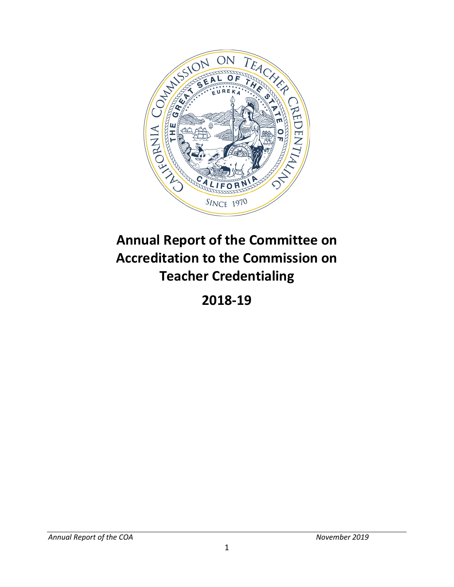

# **Annual Report of the Committee on Accreditation to the Commission on Teacher Credentialing**

**2018-19**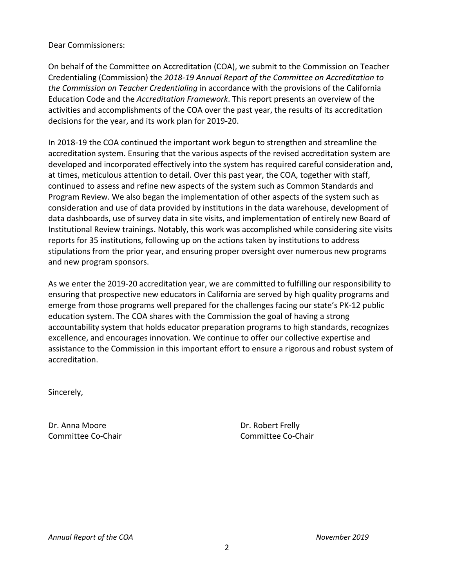#### Dear Commissioners:

 On behalf of the Committee on Accreditation (COA), we submit to the Commission on Teacher Education Code and the *Accreditation Framework*. This report presents an overview of the activities and accomplishments of the COA over the past year, the results of its accreditation Credentialing (Commission) the *2018-19 Annual Report of the Committee on Accreditation to the Commission on Teacher Credentialing* in accordance with the provisions of the California decisions for the year, and its work plan for 2019-20.

 In 2018-19 the COA continued the important work begun to strengthen and streamline the at times, meticulous attention to detail. Over this past year, the COA, together with staff, continued to assess and refine new aspects of the system such as Common Standards and Institutional Review trainings. Notably, this work was accomplished while considering site visits accreditation system. Ensuring that the various aspects of the revised accreditation system are developed and incorporated effectively into the system has required careful consideration and, Program Review. We also began the implementation of other aspects of the system such as consideration and use of data provided by institutions in the data warehouse, development of data dashboards, use of survey data in site visits, and implementation of entirely new Board of reports for 35 institutions, following up on the actions taken by institutions to address stipulations from the prior year, and ensuring proper oversight over numerous new programs and new program sponsors.

 As we enter the 2019-20 accreditation year, we are committed to fulfilling our responsibility to accountability system that holds educator preparation programs to high standards, recognizes excellence, and encourages innovation. We continue to offer our collective expertise and assistance to the Commission in this important effort to ensure a rigorous and robust system of ensuring that prospective new educators in California are served by high quality programs and emerge from those programs well prepared for the challenges facing our state's PK-12 public education system. The COA shares with the Commission the goal of having a strong accreditation.

Sincerely,

Dr. Anna Moore Dr. Robert Frelly

Committee Co-Chair Committee Co-Chair Committee Co-Chair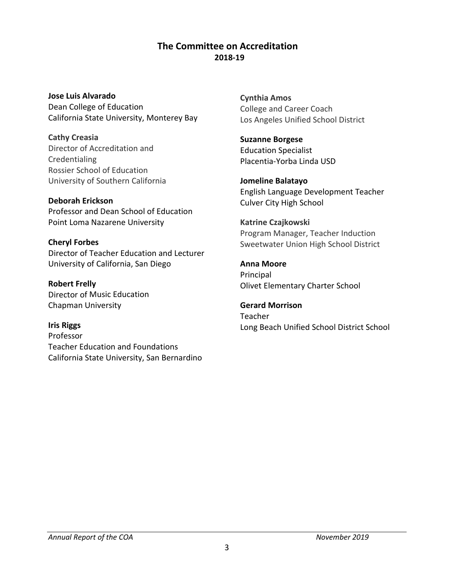# **The Committee on Accreditation 2018-19**

**Jose Luis Alvarado**  Dean College of Education California State University, Monterey Bay

**Cathy Creasia**  Director of Accreditation and Credentialing Rossier School of Education University of Southern California

**Deborah Erickson**  Professor and Dean School of Education Point Loma Nazarene University

**Cheryl Forbes**  Director of Teacher Education and Lecturer University of California, San Diego

**Robert Frelly**  Director of Music Education Chapman University

**Iris Riggs**  Professor Teacher Education and Foundations California State University, San Bernardino **Cynthia Amos**  College and Career Coach Los Angeles Unified School District

**Suzanne Borgese**  Education Specialist Placentia-Yorba Linda USD

**Jomeline Balatayo**  English Language Development Teacher Culver City High School

**Katrine Czajkowski**  Program Manager, Teacher Induction Sweetwater Union High School District

**Anna Moore**  Principal Olivet Elementary Charter School

**Gerard Morrison**  Teacher Long Beach Unified School District School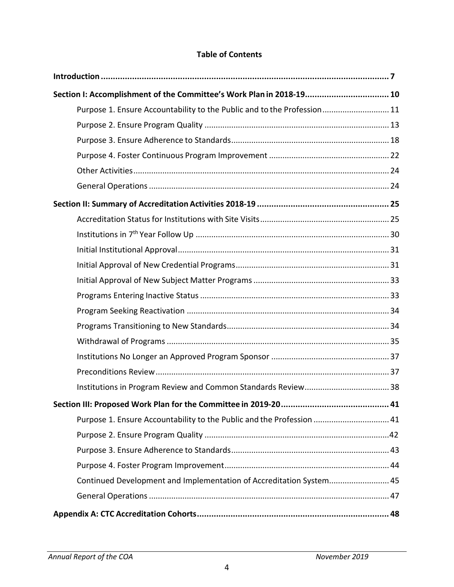## **Table of Contents**

| Section I: Accomplishment of the Committee's Work Plan in 2018-19 10    |    |
|-------------------------------------------------------------------------|----|
| Purpose 1. Ensure Accountability to the Public and to the Profession 11 |    |
|                                                                         |    |
|                                                                         |    |
|                                                                         |    |
|                                                                         |    |
|                                                                         |    |
|                                                                         |    |
|                                                                         |    |
|                                                                         |    |
|                                                                         |    |
|                                                                         |    |
|                                                                         |    |
|                                                                         |    |
|                                                                         |    |
|                                                                         |    |
|                                                                         |    |
|                                                                         |    |
|                                                                         |    |
|                                                                         |    |
| Section III: Proposed Work Plan for the Committee in 2019-20            | 41 |
| Purpose 1. Ensure Accountability to the Public and the Profession  41   |    |
|                                                                         |    |
|                                                                         |    |
|                                                                         |    |
| Continued Development and Implementation of Accreditation System 45     |    |
|                                                                         |    |
|                                                                         |    |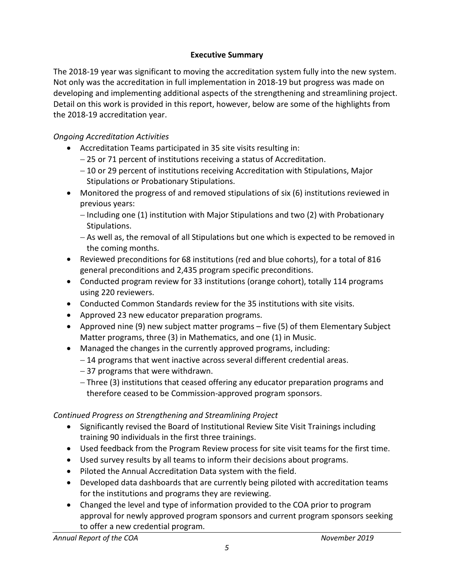# **Executive Summary**

 The 2018-19 year was significant to moving the accreditation system fully into the new system. Detail on this work is provided in this report, however, below are some of the highlights from Not only was the accreditation in full implementation in 2018-19 but progress was made on developing and implementing additional aspects of the strengthening and streamlining project. the 2018-19 accreditation year.

# *Ongoing Accreditation Activities*

- Accreditation Teams participated in 35 site visits resulting in:
	- − 25 or 71 percent of institutions receiving a status of Accreditation.
	- − 10 or 29 percent of institutions receiving Accreditation with Stipulations, Major Stipulations or Probationary Stipulations.
- • Monitored the progress of and removed stipulations of six (6) institutions reviewed in previous years:
	- − Including one (1) institution with Major Stipulations and two (2) with Probationary Stipulations.
	- − As well as, the removal of all Stipulations but one which is expected to be removed in the coming months.
- • Reviewed preconditions for 68 institutions (red and blue cohorts), for a total of 816 general preconditions and 2,435 program specific preconditions.
- • Conducted program review for 33 institutions (orange cohort), totally 114 programs using 220 reviewers.
- Conducted Common Standards review for the 35 institutions with site visits.
- Approved 23 new educator preparation programs.
- • Approved nine (9) new subject matter programs five (5) of them Elementary Subject Matter programs, three (3) in Mathematics, and one (1) in Music.
- Managed the changes in the currently approved programs, including:
	- − 14 programs that went inactive across several different credential areas.
	- − 37 programs that were withdrawn.
	- − Three (3) institutions that ceased offering any educator preparation programs and therefore ceased to be Commission-approved program sponsors.

# *Continued Progress on Strengthening and Streamlining Project*

- • Significantly revised the Board of Institutional Review Site Visit Trainings including training 90 individuals in the first three trainings.
- Used feedback from the Program Review process for site visit teams for the first time.
- Used survey results by all teams to inform their decisions about programs.
- Piloted the Annual Accreditation Data system with the field.
- Developed data dashboards that are currently being piloted with accreditation teams for the institutions and programs they are reviewing.
- • Changed the level and type of information provided to the COA prior to program approval for newly approved program sponsors and current program sponsors seeking to offer a new credential program.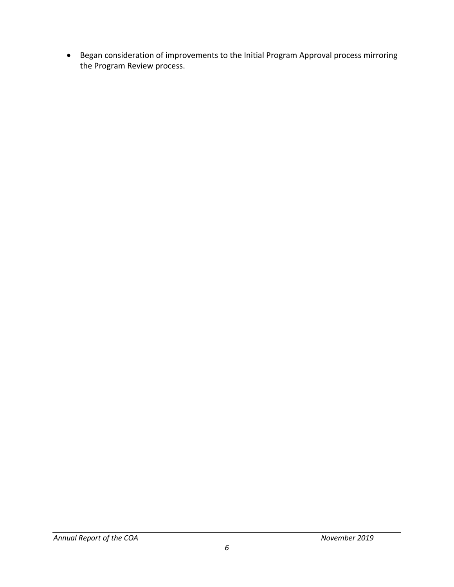• Began consideration of improvements to the Initial Program Approval process mirroring the Program Review process.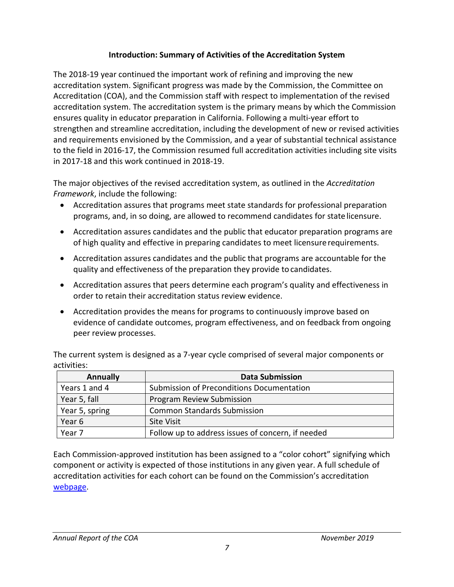# **Introduction: Summary of Activities of the Accreditation System**

<span id="page-6-0"></span>The 2018-19 year continued the important work of refining and improving the new accreditation system. Significant progress was made by the Commission, the Committee on Accreditation (COA), and the Commission staff with respect to implementation of the revised accreditation system. The accreditation system is the primary means by which the Commission ensures quality in educator preparation in California. Following a multi-year effort to strengthen and streamline accreditation, including the development of new or revised activities and requirements envisioned by the Commission, and a year of substantial technical assistance to the field in 2016-17, the Commission resumed full accreditation activities including site visits in 2017-18 and this work continued in 2018-19.

The major objectives of the revised accreditation system, as outlined in the *Accreditation Framework*, include the following:

- programs, and, in so doing, are allowed to recommend candidates for state licensure. • Accreditation assures that programs meet state standards for professional preparation
- • Accreditation assures candidates and the public that educator preparation programs are of high quality and effective in preparing candidates to meet licensure requirements.
- • Accreditation assures candidates and the public that programs are accountable for the quality and effectiveness of the preparation they provide to candidates.
- • Accreditation assures that peers determine each program's quality and effectiveness in order to retain their accreditation status review evidence.
- • Accreditation provides the means for programs to continuously improve based on peer review processes. evidence of candidate outcomes, program effectiveness, and on feedback from ongoing

 The current system is designed as a 7-year cycle comprised of several major components or activities:

| <b>Annually</b> | <b>Data Submission</b>                            |
|-----------------|---------------------------------------------------|
| Years 1 and 4   | Submission of Preconditions Documentation         |
| Year 5, fall    | Program Review Submission                         |
| Year 5, spring  | <b>Common Standards Submission</b>                |
| Year 6          | <b>Site Visit</b>                                 |
| Year 7          | Follow up to address issues of concern, if needed |

 component or activity is expected of those institutions in any given year. A full schedule of accreditation activities for each cohort can be found on the Commission's accreditation Each Commission-approved institution has been assigned to a "color cohort" signifying which [webpage.](https://www.ctc.ca.gov/educator-prep/program-accred-sch-act)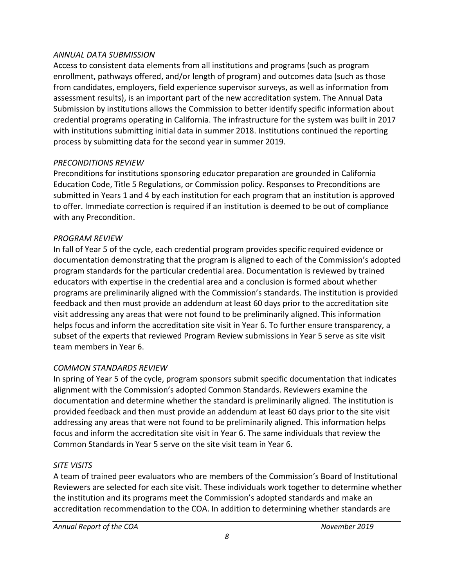#### *ANNUAL DATA SUBMISSION*

 enrollment, pathways offered, and/or length of program) and outcomes data (such as those Submission by institutions allows the Commission to better identify specific information about credential programs operating in California. The infrastructure for the system was built in 2017 process by submitting data for the second year in summer 2019. Access to consistent data elements from all institutions and programs (such as program from candidates, employers, field experience supervisor surveys, as well as information from assessment results), is an important part of the new accreditation system. The Annual Data with institutions submitting initial data in summer 2018. Institutions continued the reporting

#### *PRECONDITIONS REVIEW*

 Preconditions for institutions sponsoring educator preparation are grounded in California submitted in Years 1 and 4 by each institution for each program that an institution is approved to offer. Immediate correction is required if an institution is deemed to be out of compliance Education Code, Title 5 Regulations, or Commission policy. Responses to Preconditions are with any Precondition.

#### *PROGRAM REVIEW*

 program standards for the particular credential area. Documentation is reviewed by trained educators with expertise in the credential area and a conclusion is formed about whether feedback and then must provide an addendum at least 60 days prior to the accreditation site visit addressing any areas that were not found to be preliminarily aligned. This information In fall of Year 5 of the cycle, each credential program provides specific required evidence or documentation demonstrating that the program is aligned to each of the Commission's adopted programs are preliminarily aligned with the Commission's standards. The institution is provided helps focus and inform the accreditation site visit in Year 6. To further ensure transparency, a subset of the experts that reviewed Program Review submissions in Year 5 serve as site visit team members in Year 6.

#### *COMMON STANDARDS REVIEW*

 In spring of Year 5 of the cycle, program sponsors submit specific documentation that indicates provided feedback and then must provide an addendum at least 60 days prior to the site visit addressing any areas that were not found to be preliminarily aligned. This information helps alignment with the Commission's adopted Common Standards. Reviewers examine the documentation and determine whether the standard is preliminarily aligned. The institution is focus and inform the accreditation site visit in Year 6. The same individuals that review the Common Standards in Year 5 serve on the site visit team in Year 6.

#### *SITE VISITS*

A team of trained peer evaluators who are members of the Commission's Board of Institutional Reviewers are selected for each site visit. These individuals work together to determine whether the institution and its programs meet the Commission's adopted standards and make an accreditation recommendation to the COA. In addition to determining whether standards are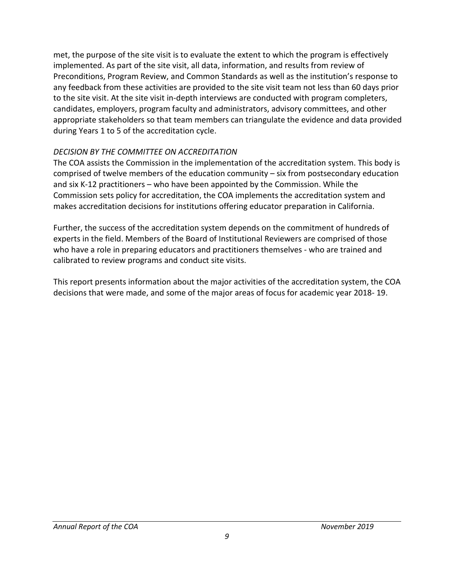met, the purpose of the site visit is to evaluate the extent to which the program is effectively implemented. As part of the site visit, all data, information, and results from review of Preconditions, Program Review, and Common Standards as well as the institution's response to any feedback from these activities are provided to the site visit team not less than 60 days prior to the site visit. At the site visit in-depth interviews are conducted with program completers, candidates, employers, program faculty and administrators, advisory committees, and other appropriate stakeholders so that team members can triangulate the evidence and data provided during Years 1 to 5 of the accreditation cycle.

#### *DECISION BY THE COMMITTEE ON ACCREDITATION*

 The COA assists the Commission in the implementation of the accreditation system. This body is and six K-12 practitioners – who have been appointed by the Commission. While the comprised of twelve members of the education community – six from postsecondary education Commission sets policy for accreditation, the COA implements the accreditation system and makes accreditation decisions for institutions offering educator preparation in California.

 who have a role in preparing educators and practitioners themselves - who are trained and Further, the success of the accreditation system depends on the commitment of hundreds of experts in the field. Members of the Board of Institutional Reviewers are comprised of those calibrated to review programs and conduct site visits.

 decisions that were made, and some of the major areas of focus for academic year 2018- 19. This report presents information about the major activities of the accreditation system, the COA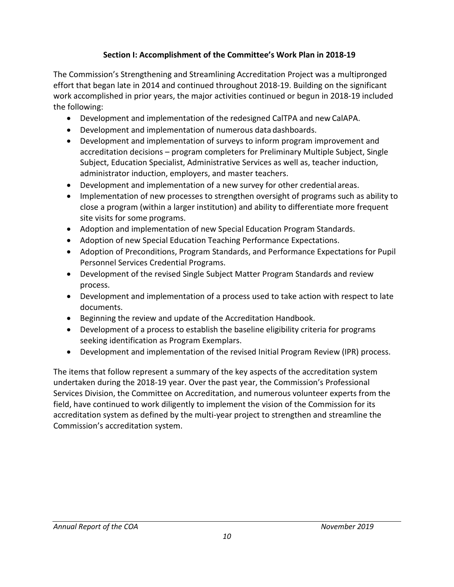# **Section I: Accomplishment of the Committee's Work Plan in 2018-19**

<span id="page-9-0"></span> effort that began late in 2014 and continued throughout 2018-19. Building on the significant The Commission's Strengthening and Streamlining Accreditation Project was a multipronged work accomplished in prior years, the major activities continued or begun in 2018-19 included the following:

- Development and implementation of the redesigned CalTPA and new CalAPA.
- Development and implementation of numerous data dashboards.
- Development and implementation of surveys to inform program improvement and accreditation decisions – program completers for Preliminary Multiple Subject, Single Subject, Education Specialist, Administrative Services as well as, teacher induction, administrator induction, employers, and master teachers.
- Development and implementation of a new survey for other credential areas.
- • Implementation of new processes to strengthen oversight of programs such as ability to site visits for some programs. close a program (within a larger institution) and ability to differentiate more frequent
- Adoption and implementation of new Special Education Program Standards.
- Adoption of new Special Education Teaching Performance Expectations.
- Adoption of Preconditions, Program Standards, and Performance Expectations for Pupil Personnel Services Credential Programs.
- • Development of the revised Single Subject Matter Program Standards and review process.
- Development and implementation of a process used to take action with respect to late documents.
- Beginning the review and update of the Accreditation Handbook.
- • Development of a process to establish the baseline eligibility criteria for programs seeking identification as Program Exemplars.
- Development and implementation of the revised Initial Program Review (IPR) process.

 Services Division, the Committee on Accreditation, and numerous volunteer experts from the field, have continued to work diligently to implement the vision of the Commission for its accreditation system as defined by the multi-year project to strengthen and streamline the The items that follow represent a summary of the key aspects of the accreditation system undertaken during the 2018-19 year. Over the past year, the Commission's Professional Commission's accreditation system.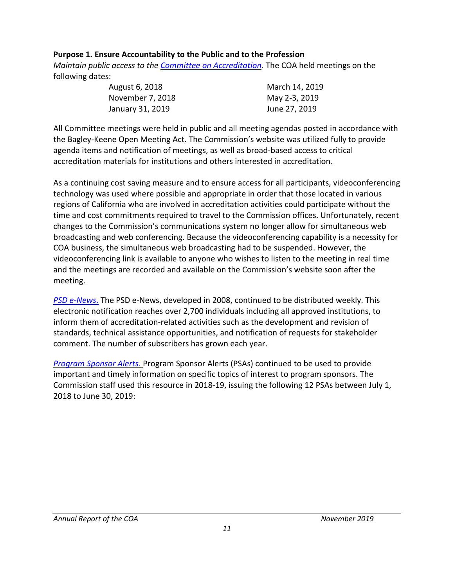# <span id="page-10-0"></span> **Purpose 1. Ensure Accountability to the Public and to the Profession**

 *Maintain public access to the [Committee on Accreditation.](https://www.ctc.ca.gov/educator-prep/coa)* The COA held meetings on the following dates:

| August 6, 2018   | March 14, 2019 |
|------------------|----------------|
| November 7, 2018 | May 2-3, 2019  |
| January 31, 2019 | June 27, 2019  |

 the Bagley-Keene Open Meeting Act. The Commission's website was utilized fully to provide All Committee meetings were held in public and all meeting agendas posted in accordance with agenda items and notification of meetings, as well as broad-based access to critical accreditation materials for institutions and others interested in accreditation.

 changes to the Commission's communications system no longer allow for simultaneous web As a continuing cost saving measure and to ensure access for all participants, videoconferencing technology was used where possible and appropriate in order that those located in various regions of California who are involved in accreditation activities could participate without the time and cost commitments required to travel to the Commission offices. Unfortunately, recent broadcasting and web conferencing. Because the videoconferencing capability is a necessity for COA business, the simultaneous web broadcasting had to be suspended. However, the videoconferencing link is available to anyone who wishes to listen to the meeting in real time and the meetings are recorded and available on the Commission's website soon after the meeting.

 comment. The number of subscribers has grown each year. *[PSD e-News](https://www.ctc.ca.gov/commission/newsletters/psd-news)*. The PSD e-News, developed in 2008, continued to be distributed weekly. This electronic notification reaches over 2,700 individuals including all approved institutions, to inform them of accreditation-related activities such as the development and revision of standards, technical assistance opportunities, and notification of requests for stakeholder

 *[Program Sponsor Alerts](https://www.ctc.ca.gov/educator-prep/ps-alerts)*. Program Sponsor Alerts (PSAs) continued to be used to provide important and timely information on specific topics of interest to program sponsors. The Commission staff used this resource in 2018-19, issuing the following 12 PSAs between July 1, 2018 to June 30, 2019: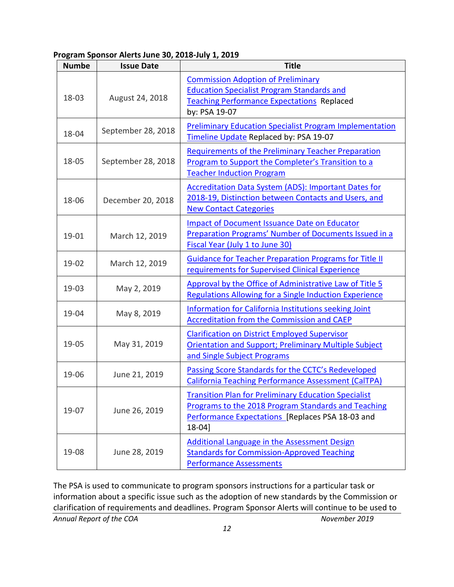**Program Sponsor Alerts June 30, 2018-July 1, 2019** 

| <b>Numbe</b> | <b>Issue Date</b>  | <b>Title</b>                                                                                                                                                                     |
|--------------|--------------------|----------------------------------------------------------------------------------------------------------------------------------------------------------------------------------|
| 18-03        | August 24, 2018    | <b>Commission Adoption of Preliminary</b><br><b>Education Specialist Program Standards and</b><br>Teaching Performance Expectations Replaced<br>by: PSA 19-07                    |
| 18-04        | September 28, 2018 | <b>Preliminary Education Specialist Program Implementation</b><br>Timeline Update Replaced by: PSA 19-07                                                                         |
| 18-05        | September 28, 2018 | <b>Requirements of the Preliminary Teacher Preparation</b><br>Program to Support the Completer's Transition to a<br><b>Teacher Induction Program</b>                             |
| 18-06        | December 20, 2018  | <b>Accreditation Data System (ADS): Important Dates for</b><br>2018-19, Distinction between Contacts and Users, and<br><b>New Contact Categories</b>                             |
| 19-01        | March 12, 2019     | <b>Impact of Document Issuance Date on Educator</b><br>Preparation Programs' Number of Documents Issued in a<br>Fiscal Year (July 1 to June 30)                                  |
| 19-02        | March 12, 2019     | <b>Guidance for Teacher Preparation Programs for Title II</b><br>requirements for Supervised Clinical Experience                                                                 |
| 19-03        | May 2, 2019        | Approval by the Office of Administrative Law of Title 5<br><b>Regulations Allowing for a Single Induction Experience</b>                                                         |
| 19-04        | May 8, 2019        | Information for California Institutions seeking Joint<br><b>Accreditation from the Commission and CAEP</b>                                                                       |
| 19-05        | May 31, 2019       | <b>Clarification on District Employed Supervisor</b><br><b>Orientation and Support; Preliminary Multiple Subject</b><br>and Single Subject Programs                              |
| 19-06        | June 21, 2019      | Passing Score Standards for the CCTC's Redeveloped<br><b>California Teaching Performance Assessment (CalTPA)</b>                                                                 |
| 19-07        | June 26, 2019      | <b>Transition Plan for Preliminary Education Specialist</b><br>Programs to the 2018 Program Standards and Teaching<br>Performance Expectations [Replaces PSA 18-03 and<br>18-041 |
| 19-08        | June 28, 2019      | Additional Language in the Assessment Design<br><b>Standards for Commission-Approved Teaching</b><br><b>Performance Assessments</b>                                              |

 The PSA is used to communicate to program sponsors instructions for a particular task or clarification of requirements and deadlines. Program Sponsor Alerts will continue to be used to information about a specific issue such as the adoption of new standards by the Commission or **Annual Report of the COA** November 2019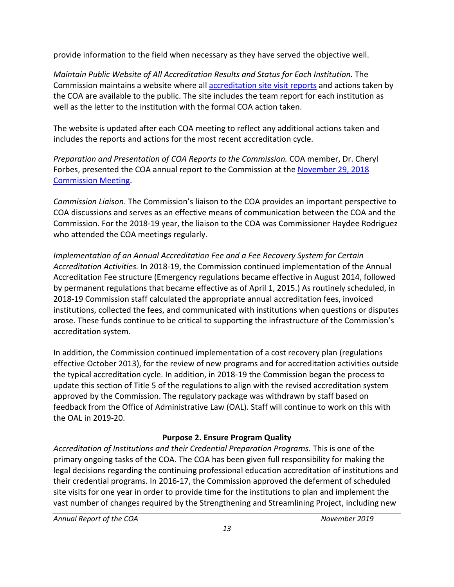<span id="page-12-0"></span>provide information to the field when necessary as they have served the objective well.

 the COA are available to the public. The site includes the team report for each institution as *Maintain Public Website of All Accreditation Results and Status for Each Institution.* The Commission maintains a website where all [accreditation site visit reports](https://info.ctc.ca.gov/fmp/accreditation/accreditation_reports.php) and actions taken by well as the letter to the institution with the formal COA action taken.

 The website is updated after each COA meeting to reflect any additional actions taken and includes the reports and actions for the most recent accreditation cycle.

*Preparation and Presentation of COA Reports to the Commission.* COA member, Dr. Cheryl Forbes, presented the COA annual report to the Commission at the [November 29, 2018](https://www.ctc.ca.gov/docs/default-source/commission/agendas/2018-11/2018-11-3a.pdf?sfvrsn=2)  [Commission Meeting.](https://www.ctc.ca.gov/docs/default-source/commission/agendas/2018-11/2018-11-3a.pdf?sfvrsn=2)

 *Commission Liaison*. The Commission's liaison to the COA provides an important perspective to Commission. For the 2018-19 year, the liaison to the COA was Commissioner Haydee Rodriguez COA discussions and serves as an effective means of communication between the COA and the who attended the COA meetings regularly.

 *Accreditation Activities.* In 2018-19, the Commission continued implementation of the Annual by permanent regulations that became effective as of April 1, 2015.) As routinely scheduled, in institutions, collected the fees, and communicated with institutions when questions or disputes *Implementation of an Annual Accreditation Fee and a Fee Recovery System for Certain*  Accreditation Fee structure (Emergency regulations became effective in August 2014, followed 2018-19 Commission staff calculated the appropriate annual accreditation fees, invoiced arose. These funds continue to be critical to supporting the infrastructure of the Commission's accreditation system.

 effective October 2013), for the review of new programs and for accreditation activities outside the typical accreditation cycle. In addition, in 2018-19 the Commission began the process to feedback from the Office of Administrative Law (OAL). Staff will continue to work on this with the OAL in 2019-20. In addition, the Commission continued implementation of a cost recovery plan (regulations update this section of Title 5 of the regulations to align with the revised accreditation system approved by the Commission. The regulatory package was withdrawn by staff based on

# **Purpose 2. Ensure Program Quality**

 *Accreditation of Institutions and their Credential Preparation Programs.* This is one of the vast number of changes required by the Strengthening and Streamlining Project, including new primary ongoing tasks of the COA. The COA has been given full responsibility for making the legal decisions regarding the continuing professional education accreditation of institutions and their credential programs. In 2016-17, the Commission approved the deferment of scheduled site visits for one year in order to provide time for the institutions to plan and implement the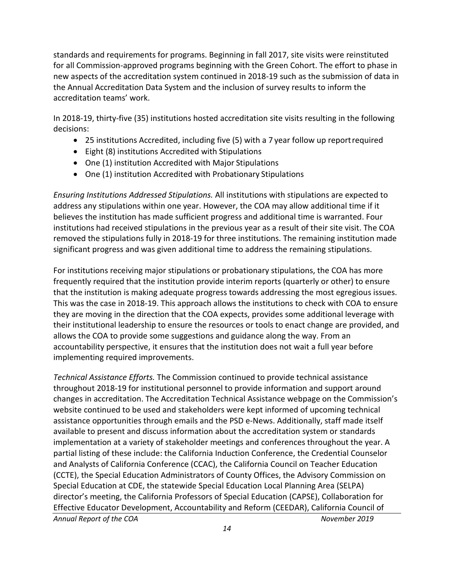for all Commission-approved programs beginning with the Green Cohort. The effort to phase in standards and requirements for programs. Beginning in fall 2017, site visits were reinstituted new aspects of the accreditation system continued in 2018-19 such as the submission of data in the Annual Accreditation Data System and the inclusion of survey results to inform the accreditation teams' work.

In 2018-19, thirty-five (35) institutions hosted accreditation site visits resulting in the following decisions:

- 25 institutions Accredited, including five (5) with a 7 year follow up report required
- Eight (8) institutions Accredited with Stipulations
- One (1) institution Accredited with Major Stipulations
- One (1) institution Accredited with Probationary Stipulations

 address any stipulations within one year. However, the COA may allow additional time if it removed the stipulations fully in 2018-19 for three institutions. The remaining institution made *Ensuring Institutions Addressed Stipulations.* All institutions with stipulations are expected to believes the institution has made sufficient progress and additional time is warranted. Four institutions had received stipulations in the previous year as a result of their site visit. The COA significant progress and was given additional time to address the remaining stipulations.

 frequently required that the institution provide interim reports (quarterly or other) to ensure their institutional leadership to ensure the resources or tools to enact change are provided, and implementing required improvements. For institutions receiving major stipulations or probationary stipulations, the COA has more that the institution is making adequate progress towards addressing the most egregious issues. This was the case in 2018-19. This approach allows the institutions to check with COA to ensure they are moving in the direction that the COA expects, provides some additional leverage with allows the COA to provide some suggestions and guidance along the way. From an accountability perspective, it ensures that the institution does not wait a full year before

 website continued to be used and stakeholders were kept informed of upcoming technical assistance opportunities through emails and the PSD e-News. Additionally, staff made itself *Technical Assistance Efforts.* The Commission continued to provide technical assistance throughout 2018-19 for institutional personnel to provide information and support around changes in accreditation. The Accreditation Technical Assistance webpage on the Commission's available to present and discuss information about the accreditation system or standards implementation at a variety of stakeholder meetings and conferences throughout the year. A partial listing of these include: the California Induction Conference, the Credential Counselor and Analysts of California Conference (CCAC), the California Council on Teacher Education (CCTE), the Special Education Administrators of County Offices, the Advisory Commission on Special Education at CDE, the statewide Special Education Local Planning Area (SELPA) director's meeting, the California Professors of Special Education (CAPSE), Collaboration for Effective Educator Development, Accountability and Reform (CEEDAR), California Council of *Annual Report of the COA November 2019*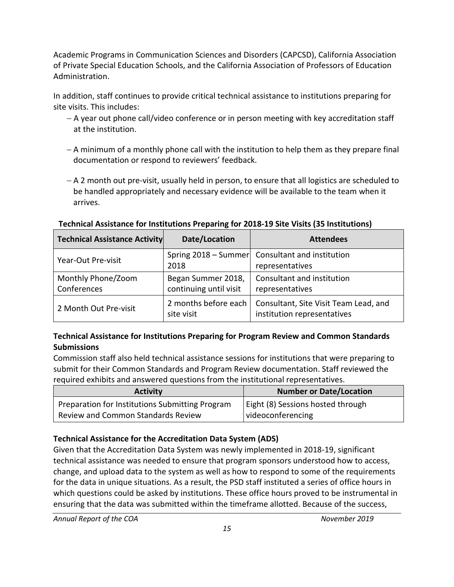Academic Programs in Communication Sciences and Disorders (CAPCSD), California Association of Private Special Education Schools, and the California Association of Professors of Education Administration.

 In addition, staff continues to provide critical technical assistance to institutions preparing for site visits. This includes:

- − A year out phone call/video conference or in person meeting with key accreditation staff at the institution.
- − A minimum of a monthly phone call with the institution to help them as they prepare final documentation or respond to reviewers' feedback.
- − A 2 month out pre-visit, usually held in person, to ensure that all logistics are scheduled to be handled appropriately and necessary evidence will be available to the team when it arrives.

**Technical Assistance for Institutions Preparing for 2018-19 Site Visits (35 Institutions)** 

| <b>Technical Assistance Activity</b> | Date/Location                                | <b>Attendees</b>                                                     |
|--------------------------------------|----------------------------------------------|----------------------------------------------------------------------|
| Year-Out Pre-visit                   | 2018                                         | Spring 2018 - Summer Consultant and institution<br>representatives   |
| Monthly Phone/Zoom<br>Conferences    | Began Summer 2018,<br>continuing until visit | Consultant and institution<br>representatives                        |
| 2 Month Out Pre-visit                | 2 months before each<br>site visit           | Consultant, Site Visit Team Lead, and<br>institution representatives |

#### **Technical Assistance for Institutions Preparing for Program Review and Common Standards Submissions**

Commission staff also held technical assistance sessions for institutions that were preparing to submit for their Common Standards and Program Review documentation. Staff reviewed the required exhibits and answered questions from the institutional representatives.

| <b>Activity</b>                                 | <b>Number or Date/Location</b>    |
|-------------------------------------------------|-----------------------------------|
| Preparation for Institutions Submitting Program | Eight (8) Sessions hosted through |
| <b>Review and Common Standards Review</b>       | videoconferencing                 |

# **Technical Assistance for the Accreditation Data System (ADS)**

 change, and upload data to the system as well as how to respond to some of the requirements for the data in unique situations. As a result, the PSD staff instituted a series of office hours in ensuring that the data was submitted within the timeframe allotted. Because of the success, Given that the Accreditation Data System was newly implemented in 2018-19, significant technical assistance was needed to ensure that program sponsors understood how to access, which questions could be asked by institutions. These office hours proved to be instrumental in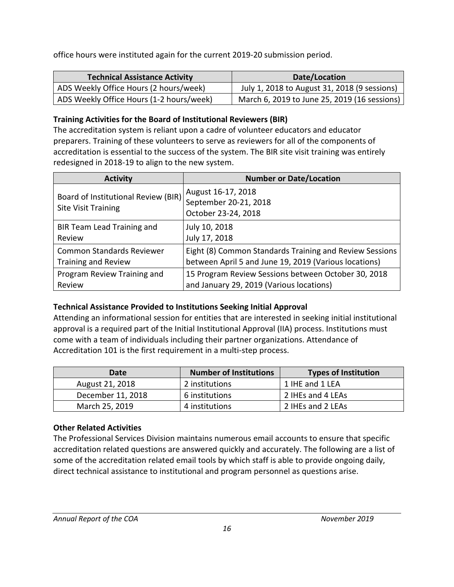office hours were instituted again for the current 2019-20 submission period.

| <b>Technical Assistance Activity</b>     | Date/Location                                |
|------------------------------------------|----------------------------------------------|
| ADS Weekly Office Hours (2 hours/week)   | July 1, 2018 to August 31, 2018 (9 sessions) |
| ADS Weekly Office Hours (1-2 hours/week) | March 6, 2019 to June 25, 2019 (16 sessions) |

# **Training Activities for the Board of Institutional Reviewers (BIR)**

 accreditation is essential to the success of the system. The BIR site visit training was entirely redesigned in 2018-19 to align to the new system. The accreditation system is reliant upon a cadre of volunteer educators and educator preparers. Training of these volunteers to serve as reviewers for all of the components of

| <b>Activity</b>                                                   | <b>Number or Date/Location</b>                                     |
|-------------------------------------------------------------------|--------------------------------------------------------------------|
| Board of Institutional Review (BIR)<br><b>Site Visit Training</b> | August 16-17, 2018<br>September 20-21, 2018<br>October 23-24, 2018 |
| BIR Team Lead Training and                                        | July 10, 2018                                                      |
| Review                                                            | July 17, 2018                                                      |
| <b>Common Standards Reviewer</b>                                  | Eight (8) Common Standards Training and Review Sessions            |
| <b>Training and Review</b>                                        | between April 5 and June 19, 2019 (Various locations)              |
| Program Review Training and                                       | 15 Program Review Sessions between October 30, 2018                |
| Review                                                            | and January 29, 2019 (Various locations)                           |

# **Technical Assistance Provided to Institutions Seeking Initial Approval**

 come with a team of individuals including their partner organizations. Attendance of Attending an informational session for entities that are interested in seeking initial institutional approval is a required part of the Initial Institutional Approval (IIA) process. Institutions must Accreditation 101 is the first requirement in a multi-step process.

| Date              | <b>Number of Institutions</b> | <b>Types of Institution</b> |
|-------------------|-------------------------------|-----------------------------|
| August 21, 2018   | 2 institutions                | 1 IHE and 1 LEA             |
| December 11, 2018 | 6 institutions                | 2 IHEs and 4 LEAs           |
| March 25, 2019    | 4 institutions                | 2 IHEs and 2 LEAs           |

# **Other Related Activities**

 accreditation related questions are answered quickly and accurately. The following are a list of some of the accreditation related email tools by which staff is able to provide ongoing daily, The Professional Services Division maintains numerous email accounts to ensure that specific direct technical assistance to institutional and program personnel as questions arise.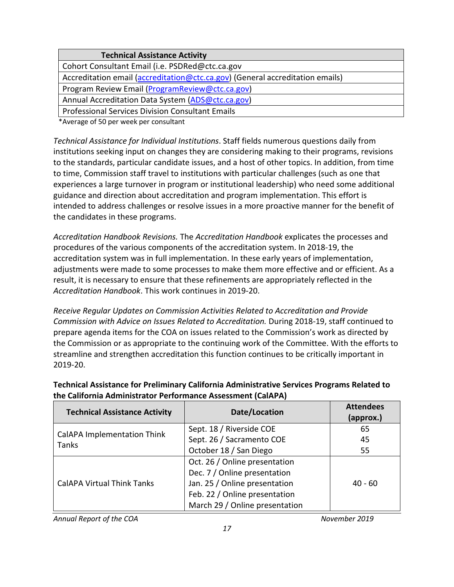| <b>Technical Assistance Activity</b>                                          |
|-------------------------------------------------------------------------------|
| Cohort Consultant Email (i.e. PSDRed@ctc.ca.gov                               |
| Accreditation email (accreditation@ctc.ca.gov) (General accreditation emails) |
| Program Review Email (Program Review@ctc.ca.gov)                              |
| Annual Accreditation Data System (ADS@ctc.ca.gov)                             |
| <b>Professional Services Division Consultant Emails</b>                       |

\*Average of 50 per week per consultant

 institutions seeking input on changes they are considering making to their programs, revisions to the standards, particular candidate issues, and a host of other topics. In addition, from time to time, Commission staff travel to institutions with particular challenges (such as one that intended to address challenges or resolve issues in a more proactive manner for the benefit of *Technical Assistance for Individual Institutions*. Staff fields numerous questions daily from experiences a large turnover in program or institutional leadership) who need some additional guidance and direction about accreditation and program implementation. This effort is the candidates in these programs.

 accreditation system was in full implementation. In these early years of implementation, result, it is necessary to ensure that these refinements are appropriately reflected in the *Accreditation Handbook Revisions.* The *Accreditation Handbook* explicates the processes and procedures of the various components of the accreditation system. In 2018-19, the adjustments were made to some processes to make them more effective and or efficient. As a *Accreditation Handbook*. This work continues in 2019-20.

 prepare agenda items for the COA on issues related to the Commission's work as directed by the Commission or as appropriate to the continuing work of the Committee. With the efforts to *Receive Regular Updates on Commission Activities Related to Accreditation and Provide Commission with Advice on Issues Related to Accreditation.* During 2018-19, staff continued to streamline and strengthen accreditation this function continues to be critically important in 2019-20.

| <b>Technical Assistance Activity</b>        | Date/Location                  | <b>Attendees</b><br>(approx.) |
|---------------------------------------------|--------------------------------|-------------------------------|
|                                             | Sept. 18 / Riverside COE       | 65                            |
| <b>CalAPA Implementation Think</b><br>Tanks | Sept. 26 / Sacramento COE      | 45                            |
|                                             | October 18 / San Diego         | 55                            |
| <b>CalAPA Virtual Think Tanks</b>           | Oct. 26 / Online presentation  |                               |
|                                             | Dec. 7 / Online presentation   |                               |
|                                             | Jan. 25 / Online presentation  | $40 - 60$                     |
|                                             | Feb. 22 / Online presentation  |                               |
|                                             | March 29 / Online presentation |                               |

## **Technical Assistance for Preliminary California Administrative Services Programs Related to the California Administrator Performance Assessment (CalAPA)**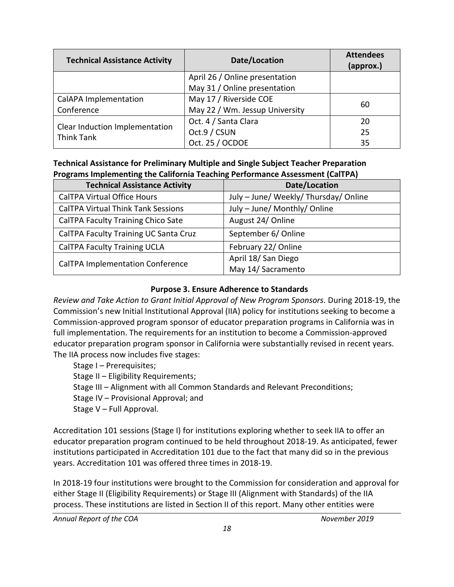<span id="page-17-0"></span>

| <b>Technical Assistance Activity</b> | Date/Location                  | <b>Attendees</b><br>(approx.) |
|--------------------------------------|--------------------------------|-------------------------------|
|                                      | April 26 / Online presentation |                               |
|                                      | May 31 / Online presentation   |                               |
| CalAPA Implementation                | May 17 / Riverside COE         |                               |
| Conference                           | May 22 / Wm. Jessup University | 60                            |
|                                      | Oct. 4 / Santa Clara           | 20                            |
| Clear Induction Implementation       | Oct.9 / CSUN                   | 25                            |
| <b>Think Tank</b>                    | Oct. 25 / OCDOE                | 35                            |

# **Technical Assistance for Preliminary Multiple and Single Subject Teacher Preparation Programs Implementing the California Teaching Performance Assessment (CalTPA)**

| <b>Technical Assistance Activity</b>      | Date/Location                         |
|-------------------------------------------|---------------------------------------|
| <b>CalTPA Virtual Office Hours</b>        | July - June/ Weekly/ Thursday/ Online |
| <b>CalTPA Virtual Think Tank Sessions</b> | July - June/ Monthly/ Online          |
| CalTPA Faculty Training Chico Sate        | August 24/ Online                     |
| CalTPA Faculty Training UC Santa Cruz     | September 6/ Online                   |
| <b>CalTPA Faculty Training UCLA</b>       | February 22/ Online                   |
| <b>CalTPA Implementation Conference</b>   | April 18/ San Diego                   |
|                                           | May 14/ Sacramento                    |

## **Purpose 3. Ensure Adherence to Standards**

 Commission's new Initial Institutional Approval (IIA) policy for institutions seeking to become a The IIA process now includes five stages: *Review and Take Action to Grant Initial Approval of New Program Sponsors.* During 2018-19, the Commission-approved program sponsor of educator preparation programs in California was in full implementation. The requirements for an institution to become a Commission-approved educator preparation program sponsor in California were substantially revised in recent years.

Stage I – Prerequisites;

Stage II – Eligibility Requirements;

Stage III – Alignment with all Common Standards and Relevant Preconditions;

Stage IV – Provisional Approval; and

Stage V – Full Approval.

 educator preparation program continued to be held throughout 2018-19. As anticipated, fewer institutions participated in Accreditation 101 due to the fact that many did so in the previous Accreditation 101 sessions (Stage I) for institutions exploring whether to seek IIA to offer an years. Accreditation 101 was offered three times in 2018-19.

 process. These institutions are listed in Section II of this report. Many other entities were In 2018-19 four institutions were brought to the Commission for consideration and approval for either Stage II (Eligibility Requirements) or Stage III (Alignment with Standards) of the IIA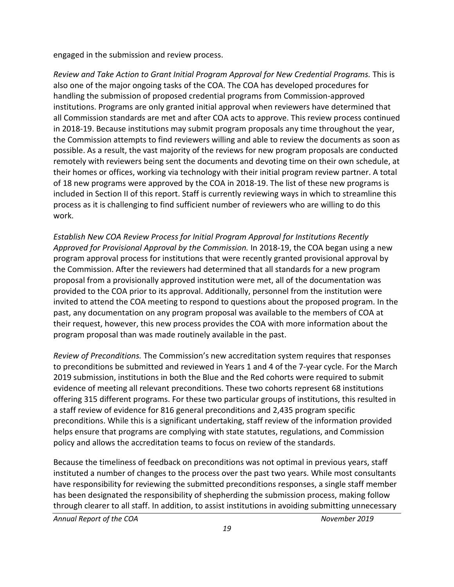engaged in the submission and review process.

 also one of the major ongoing tasks of the COA. The COA has developed procedures for handling the submission of proposed credential programs from Commission-approved institutions. Programs are only granted initial approval when reviewers have determined that all Commission standards are met and after COA acts to approve. This review process continued in 2018-19. Because institutions may submit program proposals any time throughout the year, the Commission attempts to find reviewers willing and able to review the documents as soon as possible. As a result, the vast majority of the reviews for new program proposals are conducted of 18 new programs were approved by the COA in 2018-19. The list of these new programs is process as it is challenging to find sufficient number of reviewers who are willing to do this *Review and Take Action to Grant Initial Program Approval for New Credential Programs.* This is remotely with reviewers being sent the documents and devoting time on their own schedule, at their homes or offices, working via technology with their initial program review partner. A total included in Section II of this report. Staff is currently reviewing ways in which to streamline this work.

 provided to the COA prior to its approval. Additionally, personnel from the institution were past, any documentation on any program proposal was available to the members of COA at their request, however, this new process provides the COA with more information about the program proposal than was made routinely available in the past. *Establish New COA Review Process for Initial Program Approval for Institutions Recently Approved for Provisional Approval by the Commission.* In 2018-19, the COA began using a new program approval process for institutions that were recently granted provisional approval by the Commission. After the reviewers had determined that all standards for a new program proposal from a provisionally approved institution were met, all of the documentation was invited to attend the COA meeting to respond to questions about the proposed program. In the

 to preconditions be submitted and reviewed in Years 1 and 4 of the 7-year cycle. For the March evidence of meeting all relevant preconditions. These two cohorts represent 68 institutions offering 315 different programs. For these two particular groups of institutions, this resulted in a staff review of evidence for 816 general preconditions and 2,435 program specific helps ensure that programs are complying with state statutes, regulations, and Commission policy and allows the accreditation teams to focus on review of the standards. *Review of Preconditions.* The Commission's new accreditation system requires that responses 2019 submission, institutions in both the Blue and the Red cohorts were required to submit preconditions. While this is a significant undertaking, staff review of the information provided

 instituted a number of changes to the process over the past two years. While most consultants Because the timeliness of feedback on preconditions was not optimal in previous years, staff have responsibility for reviewing the submitted preconditions responses, a single staff member has been designated the responsibility of shepherding the submission process, making follow through clearer to all staff. In addition, to assist institutions in avoiding submitting unnecessary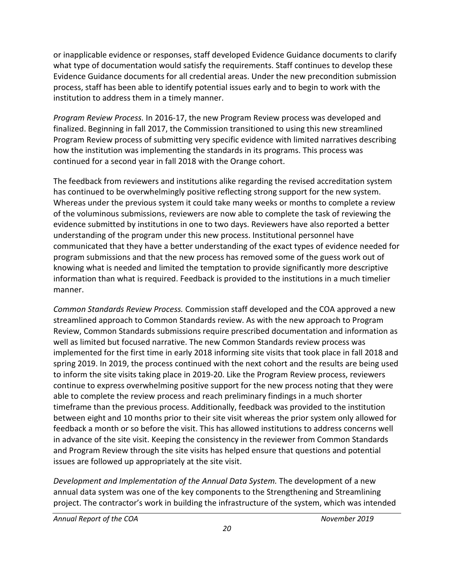or inapplicable evidence or responses, staff developed Evidence Guidance documents to clarify what type of documentation would satisfy the requirements. Staff continues to develop these Evidence Guidance documents for all credential areas. Under the new precondition submission process, staff has been able to identify potential issues early and to begin to work with the institution to address them in a timely manner.

 finalized. Beginning in fall 2017, the Commission transitioned to using this new streamlined Program Review process of submitting very specific evidence with limited narratives describing how the institution was implementing the standards in its programs. This process was *Program Review Process.* In 2016-17, the new Program Review process was developed and continued for a second year in fall 2018 with the Orange cohort.

 has continued to be overwhelmingly positive reflecting strong support for the new system. Whereas under the previous system it could take many weeks or months to complete a review of the voluminous submissions, reviewers are now able to complete the task of reviewing the evidence submitted by institutions in one to two days. Reviewers have also reported a better understanding of the program under this new process. Institutional personnel have communicated that they have a better understanding of the exact types of evidence needed for The feedback from reviewers and institutions alike regarding the revised accreditation system program submissions and that the new process has removed some of the guess work out of knowing what is needed and limited the temptation to provide significantly more descriptive information than what is required. Feedback is provided to the institutions in a much timelier manner.

 streamlined approach to Common Standards review. As with the new approach to Program Review, Common Standards submissions require prescribed documentation and information as well as limited but focused narrative. The new Common Standards review process was spring 2019. In 2019, the process continued with the next cohort and the results are being used able to complete the review process and reach preliminary findings in a much shorter feedback a month or so before the visit. This has allowed institutions to address concerns well *Common Standards Review Process.* Commission staff developed and the COA approved a new implemented for the first time in early 2018 informing site visits that took place in fall 2018 and to inform the site visits taking place in 2019-20. Like the Program Review process, reviewers continue to express overwhelming positive support for the new process noting that they were timeframe than the previous process. Additionally, feedback was provided to the institution between eight and 10 months prior to their site visit whereas the prior system only allowed for in advance of the site visit. Keeping the consistency in the reviewer from Common Standards and Program Review through the site visits has helped ensure that questions and potential issues are followed up appropriately at the site visit.

 annual data system was one of the key components to the Strengthening and Streamlining *Development and Implementation of the Annual Data System.* The development of a new project. The contractor's work in building the infrastructure of the system, which was intended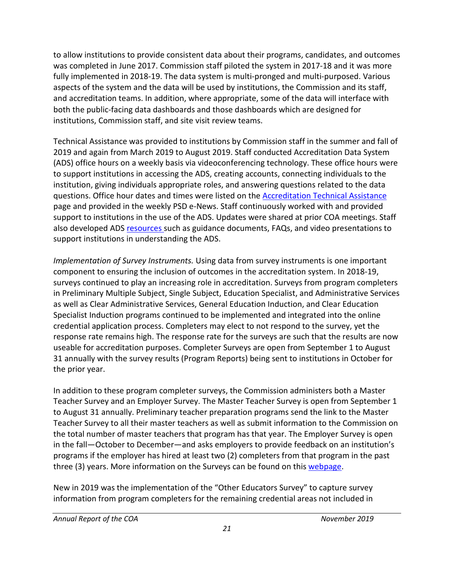aspects of the system and the data will be used by institutions, the Commission and its staff, to allow institutions to provide consistent data about their programs, candidates, and outcomes was completed in June 2017. Commission staff piloted the system in 2017-18 and it was more fully implemented in 2018-19. The data system is multi-pronged and multi-purposed. Various and accreditation teams. In addition, where appropriate, some of the data will interface with both the public-facing data dashboards and those dashboards which are designed for institutions, Commission staff, and site visit review teams.

 2019 and again from March 2019 to August 2019. Staff conducted Accreditation Data System institution, giving individuals appropriate roles, and answering questions related to the data questions. Office hour dates and times were listed on the **Accreditation Technical Assistance** also developed ADS [resources](https://www.ctc.ca.gov/educator-prep/program-accred/annual-data-submission) such as guidance documents, FAQs, and video presentations to Technical Assistance was provided to institutions by Commission staff in the summer and fall of (ADS) office hours on a weekly basis via videoconferencing technology. These office hours were to support institutions in accessing the ADS, creating accounts, connecting individuals to the page and provided in the weekly PSD e-News. Staff continuously worked with and provided support to institutions in the use of the ADS. Updates were shared at prior COA meetings. Staff support institutions in understanding the ADS.

 surveys continued to play an increasing role in accreditation. Surveys from program completers credential application process. Completers may elect to not respond to the survey, yet the *Implementation of Survey Instruments.* Using data from survey instruments is one important component to ensuring the inclusion of outcomes in the accreditation system. In 2018-19, in Preliminary Multiple Subject, Single Subject, Education Specialist, and Administrative Services as well as Clear Administrative Services, General Education Induction, and Clear Education Specialist Induction programs continued to be implemented and integrated into the online response rate remains high. The response rate for the surveys are such that the results are now useable for accreditation purposes. Completer Surveys are open from September 1 to August 31 annually with the survey results (Program Reports) being sent to institutions in October for the prior year.

 In addition to these program completer surveys, the Commission administers both a Master to August 31 annually. Preliminary teacher preparation programs send the link to the Master Teacher Survey to all their master teachers as well as submit information to the Commission on programs if the employer has hired at least two (2) completers from that program in the past Teacher Survey and an Employer Survey. The Master Teacher Survey is open from September 1 the total number of master teachers that program has that year. The Employer Survey is open in the fall—October to December—and asks employers to provide feedback on an institution's three (3) years. More information on the Surveys can be found on this [webpage.](https://www.ctc.ca.gov/educator-prep/completer-surveys)

New in 2019 was the implementation of the "Other Educators Survey" to capture survey information from program completers for the remaining credential areas not included in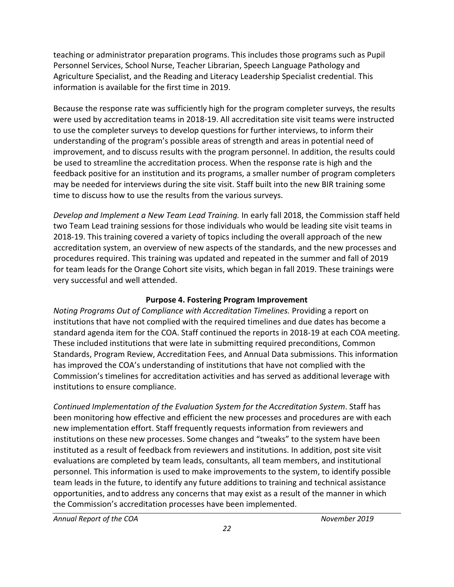<span id="page-21-0"></span> teaching or administrator preparation programs. This includes those programs such as Pupil Personnel Services, School Nurse, Teacher Librarian, Speech Language Pathology and Agriculture Specialist, and the Reading and Literacy Leadership Specialist credential. This information is available for the first time in 2019.

 Because the response rate was sufficiently high for the program completer surveys, the results to use the completer surveys to develop questions for further interviews, to inform their feedback positive for an institution and its programs, a smaller number of program completers time to discuss how to use the results from the various surveys. were used by accreditation teams in 2018-19. All accreditation site visit teams were instructed understanding of the program's possible areas of strength and areas in potential need of improvement, and to discuss results with the program personnel. In addition, the results could be used to streamline the accreditation process. When the response rate is high and the may be needed for interviews during the site visit. Staff built into the new BIR training some

 *Develop and Implement a New Team Lead Training.* In early fall 2018, the Commission staff held 2018-19. This training covered a variety of topics including the overall approach of the new accreditation system, an overview of new aspects of the standards, and the new processes and two Team Lead training sessions for those individuals who would be leading site visit teams in procedures required. This training was updated and repeated in the summer and fall of 2019 for team leads for the Orange Cohort site visits, which began in fall 2019. These trainings were very successful and well attended.

#### **Purpose 4. Fostering Program Improvement**

 institutions that have not complied with the required timelines and due dates has become a *Noting Programs Out of Compliance with Accreditation Timelines.* Providing a report on standard agenda item for the COA. Staff continued the reports in 2018-19 at each COA meeting. These included institutions that were late in submitting required preconditions, Common Standards, Program Review, Accreditation Fees, and Annual Data submissions. This information has improved the COA's understanding of institutions that have not complied with the Commission's timelines for accreditation activities and has served as additional leverage with institutions to ensure compliance.

 been monitoring how effective and efficient the new processes and procedures are with each institutions on these new processes. Some changes and "tweaks" to the system have been team leads in the future, to identify any future additions to training and technical assistance opportunities, andto address any concerns that may exist as a result of the manner in which *Continued Implementation of the Evaluation System for the Accreditation System*. Staff has new implementation effort. Staff frequently requests information from reviewers and instituted as a result of feedback from reviewers and institutions. In addition, post site visit evaluations are completed by team leads, consultants, all team members, and institutional personnel. This information is used to make improvements to the system, to identify possible the Commission's accreditation processes have been implemented.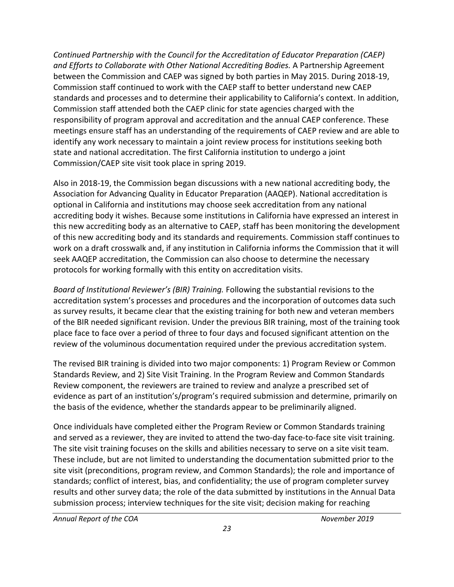*and Efforts to Collaborate with Other National Accrediting Bodies.* A Partnership Agreement *Continued Partnership with the Council for the Accreditation of Educator Preparation (CAEP)*  between the Commission and CAEP was signed by both parties in May 2015. During 2018-19, Commission staff continued to work with the CAEP staff to better understand new CAEP standards and processes and to determine their applicability to California's context. In addition, Commission staff attended both the CAEP clinic for state agencies charged with the responsibility of program approval and accreditation and the annual CAEP conference. These meetings ensure staff has an understanding of the requirements of CAEP review and are able to identify any work necessary to maintain a joint review process for institutions seeking both state and national accreditation. The first California institution to undergo a joint Commission/CAEP site visit took place in spring 2019.

 Also in 2018-19, the Commission began discussions with a new national accrediting body, the of this new accrediting body and its standards and requirements. Commission staff continues to work on a draft crosswalk and, if any institution in California informs the Commission that it will seek AAQEP accreditation, the Commission can also choose to determine the necessary protocols for working formally with this entity on accreditation visits. Association for Advancing Quality in Educator Preparation (AAQEP). National accreditation is optional in California and institutions may choose seek accreditation from any national accrediting body it wishes. Because some institutions in California have expressed an interest in this new accrediting body as an alternative to CAEP, staff has been monitoring the development

 *Board of Institutional Reviewer's (BIR) Training.* Following the substantial revisions to the accreditation system's processes and procedures and the incorporation of outcomes data such as survey results, it became clear that the existing training for both new and veteran members of the BIR needed significant revision. Under the previous BIR training, most of the training took place face to face over a period of three to four days and focused significant attention on the review of the voluminous documentation required under the previous accreditation system.

 Standards Review, and 2) Site Visit Training. In the Program Review and Common Standards The revised BIR training is divided into two major components: 1) Program Review or Common Review component, the reviewers are trained to review and analyze a prescribed set of evidence as part of an institution's/program's required submission and determine, primarily on the basis of the evidence, whether the standards appear to be preliminarily aligned.

 and served as a reviewer, they are invited to attend the two-day face-to-face site visit training. The site visit training focuses on the skills and abilities necessary to serve on a site visit team. These include, but are not limited to understanding the documentation submitted prior to the site visit (preconditions, program review, and Common Standards); the role and importance of results and other survey data; the role of the data submitted by institutions in the Annual Data Once individuals have completed either the Program Review or Common Standards training standards; conflict of interest, bias, and confidentiality; the use of program completer survey submission process; interview techniques for the site visit; decision making for reaching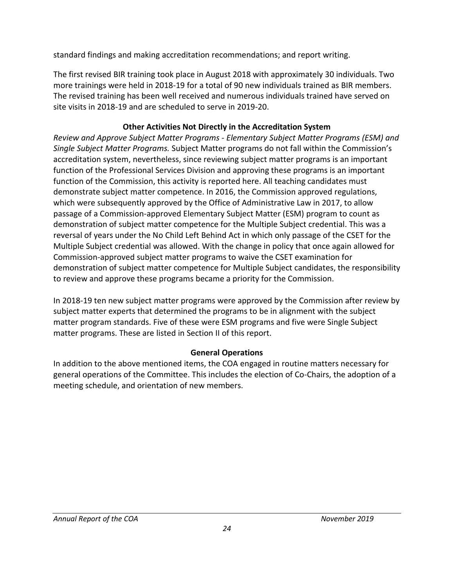<span id="page-23-0"></span>standard findings and making accreditation recommendations; and report writing.

 The first revised BIR training took place in August 2018 with approximately 30 individuals. Two more trainings were held in 2018-19 for a total of 90 new individuals trained as BIR members. The revised training has been well received and numerous individuals trained have served on site visits in 2018-19 and are scheduled to serve in 2019-20.

# **Other Activities Not Directly in the Accreditation System**

 function of the Professional Services Division and approving these programs is an important function of the Commission, this activity is reported here. All teaching candidates must demonstrate subject matter competence. In 2016, the Commission approved regulations, which were subsequently approved by the Office of Administrative Law in 2017, to allow reversal of years under the No Child Left Behind Act in which only passage of the CSET for the Multiple Subject credential was allowed. With the change in policy that once again allowed for Commission-approved subject matter programs to waive the CSET examination for demonstration of subject matter competence for Multiple Subject candidates, the responsibility *Review and Approve Subject Matter Programs - Elementary Subject Matter Programs (ESM) and Single Subject Matter Programs.* Subject Matter programs do not fall within the Commission's accreditation system, nevertheless, since reviewing subject matter programs is an important passage of a Commission-approved Elementary Subject Matter (ESM) program to count as demonstration of subject matter competence for the Multiple Subject credential. This was a to review and approve these programs became a priority for the Commission.

 In 2018-19 ten new subject matter programs were approved by the Commission after review by matter program standards. Five of these were ESM programs and five were Single Subject matter programs. These are listed in Section II of this report. subject matter experts that determined the programs to be in alignment with the subject

# **General Operations**

 In addition to the above mentioned items, the COA engaged in routine matters necessary for general operations of the Committee. This includes the election of Co-Chairs, the adoption of a meeting schedule, and orientation of new members.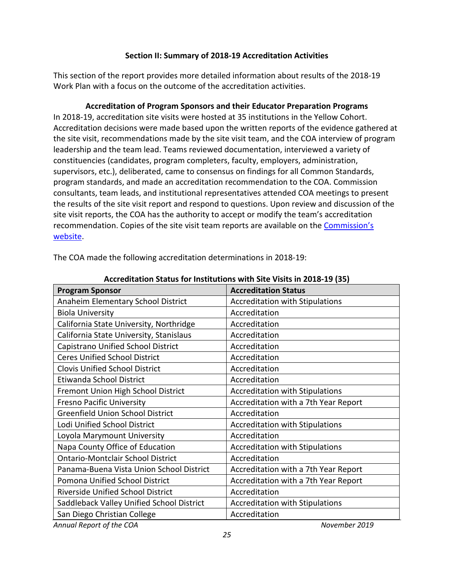#### **Section II: Summary of 2018-19 Accreditation Activities**

<span id="page-24-0"></span> Work Plan with a focus on the outcome of the accreditation activities. This section of the report provides more detailed information about results of the 2018-19

## **Accreditation of Program Sponsors and their Educator Preparation Programs**

 the site visit, recommendations made by the site visit team, and the COA interview of program leadership and the team lead. Teams reviewed documentation, interviewed a variety of constituencies (candidates, program completers, faculty, employers, administration, program standards, and made an accreditation recommendation to the COA. Commission recommendation. Copies of the site visit team reports are available on the Commission's In 2018-19, accreditation site visits were hosted at 35 institutions in the Yellow Cohort. Accreditation decisions were made based upon the written reports of the evidence gathered at supervisors, etc.), deliberated, came to consensus on findings for all Common Standards, consultants, team leads, and institutional representatives attended COA meetings to present the results of the site visit report and respond to questions. Upon review and discussion of the site visit reports, the COA has the authority to accept or modify the team's accreditation [website.](https://info.ctc.ca.gov/fmp/accreditation/accreditation_reports.php)

| Accreditation Status for Institutions with Site Visits in 2018-19 (35) |                                        |  |
|------------------------------------------------------------------------|----------------------------------------|--|
| <b>Program Sponsor</b>                                                 | <b>Accreditation Status</b>            |  |
| Anaheim Elementary School District                                     | <b>Accreditation with Stipulations</b> |  |
| <b>Biola University</b>                                                | Accreditation                          |  |
| California State University, Northridge                                | Accreditation                          |  |
| California State University, Stanislaus                                | Accreditation                          |  |
| Capistrano Unified School District                                     | Accreditation                          |  |
| <b>Ceres Unified School District</b>                                   | Accreditation                          |  |
| <b>Clovis Unified School District</b>                                  | Accreditation                          |  |
| Etiwanda School District                                               | Accreditation                          |  |
| Fremont Union High School District                                     | <b>Accreditation with Stipulations</b> |  |
| <b>Fresno Pacific University</b>                                       | Accreditation with a 7th Year Report   |  |
| <b>Greenfield Union School District</b>                                | Accreditation                          |  |
| Lodi Unified School District                                           | <b>Accreditation with Stipulations</b> |  |
| Loyola Marymount University                                            | Accreditation                          |  |
| Napa County Office of Education                                        | <b>Accreditation with Stipulations</b> |  |
| <b>Ontario-Montclair School District</b>                               | Accreditation                          |  |
| Panama-Buena Vista Union School District                               | Accreditation with a 7th Year Report   |  |
| Pomona Unified School District                                         | Accreditation with a 7th Year Report   |  |
| <b>Riverside Unified School District</b>                               | Accreditation                          |  |
| Saddleback Valley Unified School District                              | <b>Accreditation with Stipulations</b> |  |
| San Diego Christian College                                            | Accreditation                          |  |
| Annual Report of the COA                                               | November 2019                          |  |

The COA made the following accreditation determinations in 2018-19: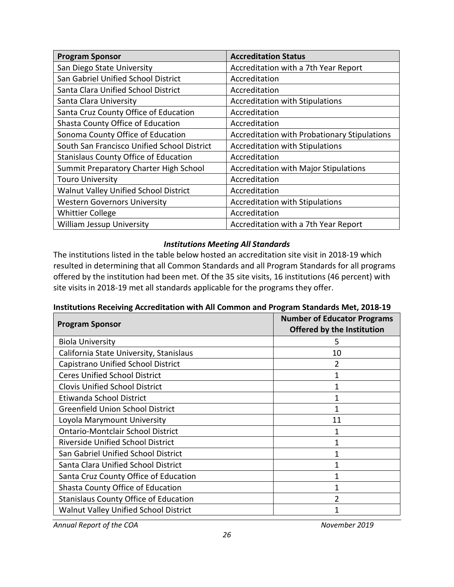| <b>Program Sponsor</b>                       | <b>Accreditation Status</b>                         |
|----------------------------------------------|-----------------------------------------------------|
| San Diego State University                   | Accreditation with a 7th Year Report                |
| San Gabriel Unified School District          | Accreditation                                       |
| Santa Clara Unified School District          | Accreditation                                       |
| Santa Clara University                       | <b>Accreditation with Stipulations</b>              |
| Santa Cruz County Office of Education        | Accreditation                                       |
| Shasta County Office of Education            | Accreditation                                       |
| Sonoma County Office of Education            | <b>Accreditation with Probationary Stipulations</b> |
| South San Francisco Unified School District  | <b>Accreditation with Stipulations</b>              |
| <b>Stanislaus County Office of Education</b> | Accreditation                                       |
| Summit Preparatory Charter High School       | <b>Accreditation with Major Stipulations</b>        |
| <b>Touro University</b>                      | Accreditation                                       |
| Walnut Valley Unified School District        | Accreditation                                       |
| <b>Western Governors University</b>          | <b>Accreditation with Stipulations</b>              |
| <b>Whittier College</b>                      | Accreditation                                       |
| <b>William Jessup University</b>             | Accreditation with a 7th Year Report                |

#### *Institutions Meeting All Standards*

 The institutions listed in the table below hosted an accreditation site visit in 2018-19 which resulted in determining that all Common Standards and all Program Standards for all programs site visits in 2018-19 met all standards applicable for the programs they offer. offered by the institution had been met. Of the 35 site visits, 16 institutions (46 percent) with

#### **Institutions Receiving Accreditation with All Common and Program Standards Met, 2018-19**

| <b>Program Sponsor</b>                       | <b>Number of Educator Programs</b><br><b>Offered by the Institution</b> |
|----------------------------------------------|-------------------------------------------------------------------------|
| <b>Biola University</b>                      | 5                                                                       |
| California State University, Stanislaus      | 10                                                                      |
| Capistrano Unified School District           | 2                                                                       |
| <b>Ceres Unified School District</b>         | 1                                                                       |
| <b>Clovis Unified School District</b>        | 1                                                                       |
| Etiwanda School District                     |                                                                         |
| <b>Greenfield Union School District</b>      |                                                                         |
| Loyola Marymount University                  | 11                                                                      |
| <b>Ontario-Montclair School District</b>     |                                                                         |
| <b>Riverside Unified School District</b>     |                                                                         |
| San Gabriel Unified School District          |                                                                         |
| Santa Clara Unified School District          |                                                                         |
| Santa Cruz County Office of Education        |                                                                         |
| Shasta County Office of Education            |                                                                         |
| <b>Stanislaus County Office of Education</b> |                                                                         |
| <b>Walnut Valley Unified School District</b> |                                                                         |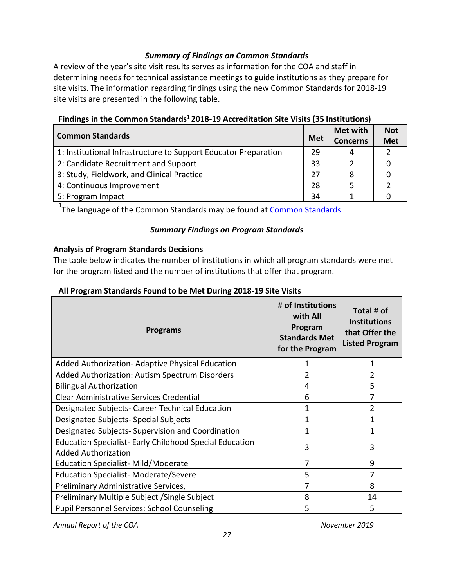#### *Summary of Findings on Common Standards*

A review of the year's site visit results serves as information for the COA and staff in determining needs for technical assistance meetings to guide institutions as they prepare for site visits. The information regarding findings using the new Common Standards for 2018-19 site visits are presented in the following table.

| <b>Common Standards</b>                                         | <b>Met</b> | <b>Met with</b><br><b>Concerns</b> | <b>Not</b><br><b>Met</b> |
|-----------------------------------------------------------------|------------|------------------------------------|--------------------------|
| 1: Institutional Infrastructure to Support Educator Preparation | 29         | 4                                  |                          |
| 2: Candidate Recruitment and Support                            | 33         |                                    |                          |
| 3: Study, Fieldwork, and Clinical Practice                      | 27         |                                    |                          |
| 4: Continuous Improvement                                       | 28         |                                    |                          |
| 5: Program Impact                                               | 34         |                                    |                          |

## **Findings in the Common Standards1 2018-19 Accreditation Site Visits (35 Institutions)**

<sup>1</sup>The language of the [Common Standards](https://www.ctc.ca.gov/docs/default-source/educator-prep/standards/commonstandards-2015-pdf.pdf?sfvrsn=0) may be found at <u>Common Standards</u>

#### *Summary Findings on Program Standards*

#### **Analysis of Program Standards Decisions**

 The table below indicates the number of institutions in which all program standards were met for the program listed and the number of institutions that offer that program.

#### **All Program Standards Found to be Met During 2018-19 Site Visits**

| <b>Programs</b>                                                                              | # of Institutions<br>with All<br>Program<br><b>Standards Met</b><br>for the Program | Total # of<br><b>Institutions</b><br>that Offer the<br><b>Listed Program</b> |
|----------------------------------------------------------------------------------------------|-------------------------------------------------------------------------------------|------------------------------------------------------------------------------|
| Added Authorization- Adaptive Physical Education                                             | 1                                                                                   | 1                                                                            |
| Added Authorization: Autism Spectrum Disorders                                               | 2                                                                                   | 2                                                                            |
| <b>Bilingual Authorization</b>                                                               | 4                                                                                   | 5                                                                            |
| <b>Clear Administrative Services Credential</b>                                              | 6                                                                                   | 7                                                                            |
| Designated Subjects- Career Technical Education                                              | 1                                                                                   | $\overline{2}$                                                               |
| Designated Subjects- Special Subjects                                                        | 1                                                                                   | 1                                                                            |
| Designated Subjects-Supervision and Coordination                                             | 1                                                                                   |                                                                              |
| <b>Education Specialist- Early Childhood Special Education</b><br><b>Added Authorization</b> | 3                                                                                   | 3                                                                            |
| Education Specialist-Mild/Moderate                                                           | 7                                                                                   | 9                                                                            |
| <b>Education Specialist-Moderate/Severe</b>                                                  | 5                                                                                   | 7                                                                            |
| Preliminary Administrative Services,                                                         | 7                                                                                   | 8                                                                            |
| Preliminary Multiple Subject / Single Subject                                                | 8                                                                                   | 14                                                                           |
| <b>Pupil Personnel Services: School Counseling</b>                                           | 5                                                                                   | 5                                                                            |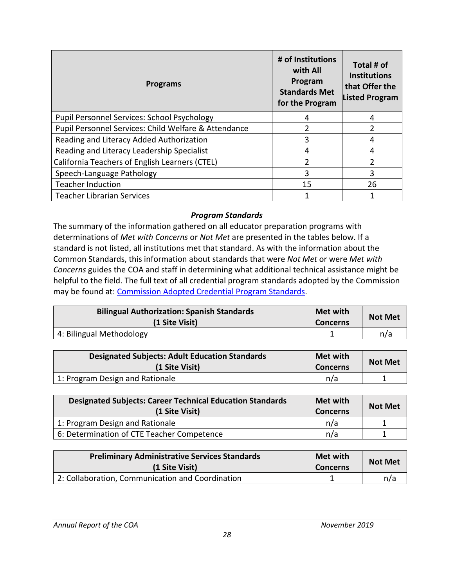| <b>Programs</b>                                      | # of Institutions<br>with All<br>Program<br><b>Standards Met</b><br>for the Program | Total # of<br><b>Institutions</b><br>that Offer the<br><b>Listed Program</b> |
|------------------------------------------------------|-------------------------------------------------------------------------------------|------------------------------------------------------------------------------|
| <b>Pupil Personnel Services: School Psychology</b>   | 4                                                                                   | 4                                                                            |
| Pupil Personnel Services: Child Welfare & Attendance | 2                                                                                   |                                                                              |
| Reading and Literacy Added Authorization             | 3                                                                                   | 4                                                                            |
| Reading and Literacy Leadership Specialist           | 4                                                                                   | 4                                                                            |
| California Teachers of English Learners (CTEL)       | 2                                                                                   | า                                                                            |
| Speech-Language Pathology                            | 3                                                                                   | 3                                                                            |
| <b>Teacher Induction</b>                             | 15                                                                                  | 26                                                                           |
| <b>Teacher Librarian Services</b>                    |                                                                                     |                                                                              |

#### *Program Standards*

 The summary of the information gathered on all educator preparation programs with standard is not listed, all institutions met that standard. As with the information about the *Concerns* guides the COA and staff in determining what additional technical assistance might be helpful to the field. The full text of all credential program standards adopted by the Commission may be found at: [Commission Adopted Credential Program Standards.](https://www.ctc.ca.gov/educator-prep/stds-prep-program) determinations of *Met with Concerns* or *Not Met* are presented in the tables below. If a Common Standards, this information about standards that were *Not Met* or were *Met with* 

| <b>Bilingual Authorization: Spanish Standards</b><br>(1 Site Visit) | Met with<br><b>Concerns</b> | <b>Not Met</b> |
|---------------------------------------------------------------------|-----------------------------|----------------|
| 4: Bilingual Methodology                                            |                             | n/a            |

| <b>Designated Subjects: Adult Education Standards</b><br>(1 Site Visit) | <b>Met with</b><br><b>Concerns</b> | <b>Not Met</b> |
|-------------------------------------------------------------------------|------------------------------------|----------------|
| 1: Program Design and Rationale                                         | n/a                                |                |

| <b>Designated Subjects: Career Technical Education Standards</b><br>(1 Site Visit) | Met with<br><b>Concerns</b> | <b>Not Met</b> |
|------------------------------------------------------------------------------------|-----------------------------|----------------|
| 1: Program Design and Rationale                                                    | n/a                         |                |
| 6: Determination of CTE Teacher Competence                                         | n/a                         |                |

| <b>Preliminary Administrative Services Standards</b><br>(1 Site Visit) | <b>Met with</b><br><b>Concerns</b> | <b>Not Met</b> |
|------------------------------------------------------------------------|------------------------------------|----------------|
| 2: Collaboration, Communication and Coordination                       |                                    | n/a            |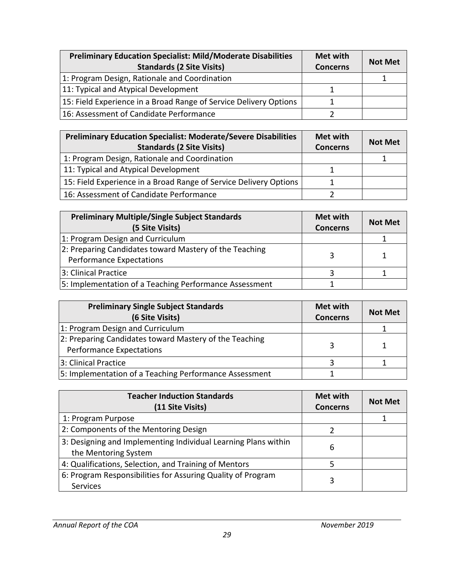<span id="page-28-0"></span>

| <b>Preliminary Education Specialist: Mild/Moderate Disabilities</b><br><b>Standards (2 Site Visits)</b> | Met with<br><b>Concerns</b> | <b>Not Met</b> |
|---------------------------------------------------------------------------------------------------------|-----------------------------|----------------|
| 1: Program Design, Rationale and Coordination                                                           |                             |                |
| 11: Typical and Atypical Development                                                                    |                             |                |
| 15: Field Experience in a Broad Range of Service Delivery Options                                       |                             |                |
| 16: Assessment of Candidate Performance                                                                 |                             |                |

| <b>Preliminary Education Specialist: Moderate/Severe Disabilities</b><br><b>Standards (2 Site Visits)</b> | Met with<br><b>Concerns</b> | <b>Not Met</b> |
|-----------------------------------------------------------------------------------------------------------|-----------------------------|----------------|
| 1: Program Design, Rationale and Coordination                                                             |                             |                |
| 11: Typical and Atypical Development                                                                      |                             |                |
| 15: Field Experience in a Broad Range of Service Delivery Options                                         |                             |                |
| 16: Assessment of Candidate Performance                                                                   |                             |                |

| <b>Preliminary Multiple/Single Subject Standards</b><br>(5 Site Visits)                   | Met with<br><b>Concerns</b> | <b>Not Met</b> |
|-------------------------------------------------------------------------------------------|-----------------------------|----------------|
| 1: Program Design and Curriculum                                                          |                             |                |
| 2: Preparing Candidates toward Mastery of the Teaching<br><b>Performance Expectations</b> |                             |                |
| 3: Clinical Practice                                                                      |                             |                |
| 5: Implementation of a Teaching Performance Assessment                                    |                             |                |

| <b>Preliminary Single Subject Standards</b><br>(6 Site Visits)                            | Met with<br><b>Concerns</b> | <b>Not Met</b> |
|-------------------------------------------------------------------------------------------|-----------------------------|----------------|
| 1: Program Design and Curriculum                                                          |                             |                |
| 2: Preparing Candidates toward Mastery of the Teaching<br><b>Performance Expectations</b> |                             |                |
| 3: Clinical Practice                                                                      |                             |                |
| 5: Implementation of a Teaching Performance Assessment                                    |                             |                |

| <b>Teacher Induction Standards</b><br>(11 Site Visits)                                 | <b>Met with</b><br><b>Concerns</b> | <b>Not Met</b> |
|----------------------------------------------------------------------------------------|------------------------------------|----------------|
| 1: Program Purpose                                                                     |                                    |                |
| 2: Components of the Mentoring Design                                                  |                                    |                |
| 3: Designing and Implementing Individual Learning Plans within<br>the Mentoring System | 6                                  |                |
| 4: Qualifications, Selection, and Training of Mentors                                  | 5                                  |                |
| 6: Program Responsibilities for Assuring Quality of Program<br><b>Services</b>         | 3                                  |                |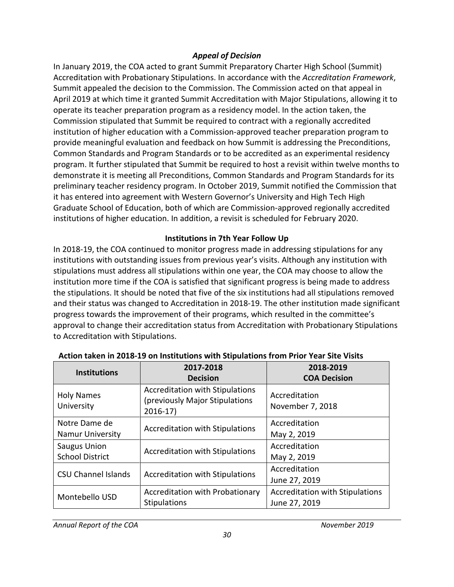# *Appeal of Decision*

 Summit appealed the decision to the Commission. The Commission acted on that appeal in April 2019 at which time it granted Summit Accreditation with Major Stipulations, allowing it to operate its teacher preparation program as a residency model. In the action taken, the Commission stipulated that Summit be required to contract with a regionally accredited institution of higher education with a Commission-approved teacher preparation program to program. It further stipulated that Summit be required to host a revisit within twelve months to demonstrate it is meeting all Preconditions, Common Standards and Program Standards for its preliminary teacher residency program. In October 2019, Summit notified the Commission that Graduate School of Education, both of which are Commission-approved regionally accredited In January 2019, the COA acted to grant Summit Preparatory Charter High School (Summit) Accreditation with Probationary Stipulations. In accordance with the *Accreditation Framework*, provide meaningful evaluation and feedback on how Summit is addressing the Preconditions, Common Standards and Program Standards or to be accredited as an experimental residency it has entered into agreement with Western Governor's University and High Tech High institutions of higher education. In addition, a revisit is scheduled for February 2020.

#### **Institutions in 7th Year Follow Up**

 institutions with outstanding issues from previous year's visits. Although any institution with stipulations must address all stipulations within one year, the COA may choose to allow the progress towards the improvement of their programs, which resulted in the committee's In 2018-19, the COA continued to monitor progress made in addressing stipulations for any institution more time if the COA is satisfied that significant progress is being made to address the stipulations. It should be noted that five of the six institutions had all stipulations removed and their status was changed to Accreditation in 2018-19. The other institution made significant approval to change their accreditation status from Accreditation with Probationary Stipulations to Accreditation with Stipulations.

| <b>Institutions</b>                           | 2017-2018<br><b>Decision</b>                                                          | 2018-2019<br><b>COA Decision</b>                        |
|-----------------------------------------------|---------------------------------------------------------------------------------------|---------------------------------------------------------|
| <b>Holy Names</b><br>University               | <b>Accreditation with Stipulations</b><br>(previously Major Stipulations<br>$2016-17$ | Accreditation<br>November 7, 2018                       |
| Notre Dame de<br><b>Namur University</b>      | <b>Accreditation with Stipulations</b>                                                | Accreditation<br>May 2, 2019                            |
| <b>Saugus Union</b><br><b>School District</b> | <b>Accreditation with Stipulations</b>                                                | Accreditation<br>May 2, 2019                            |
| <b>CSU Channel Islands</b>                    | <b>Accreditation with Stipulations</b>                                                | Accreditation<br>June 27, 2019                          |
| Montebello USD                                | Accreditation with Probationary<br><b>Stipulations</b>                                | <b>Accreditation with Stipulations</b><br>June 27, 2019 |

# **Action taken in 2018-19 on Institutions with Stipulations from Prior Year Site Visits**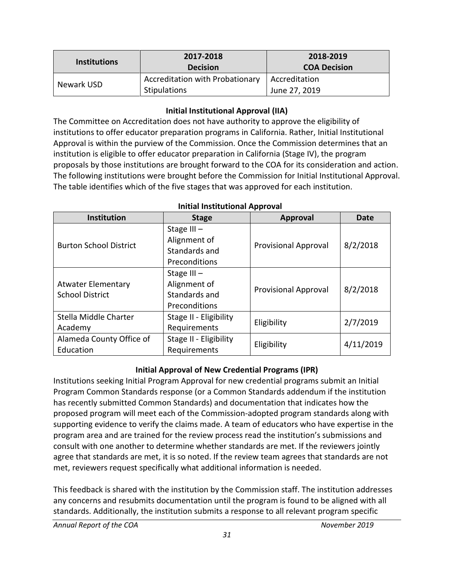<span id="page-30-0"></span>

| <b>Institutions</b> | 2017-2018<br><b>Decision</b>                           | 2018-2019<br><b>COA Decision</b> |
|---------------------|--------------------------------------------------------|----------------------------------|
| Newark USD          | <b>Accreditation with Probationary</b><br>Stipulations | Accreditation<br>June 27, 2019   |

## **Initial Institutional Approval (IIA)**

 The Committee on Accreditation does not have authority to approve the eligibility of Approval is within the purview of the Commission. Once the Commission determines that an institution is eligible to offer educator preparation in California (Stage IV), the program institutions to offer educator preparation programs in California. Rather, Initial Institutional proposals by those institutions are brought forward to the COA for its consideration and action. The following institutions were brought before the Commission for Initial Institutional Approval. The table identifies which of the five stages that was approved for each institution.

| <b>Institution</b>            | <b>Stage</b>           | <b>Approval</b>             | <b>Date</b> |
|-------------------------------|------------------------|-----------------------------|-------------|
|                               | Stage $III -$          |                             |             |
| <b>Burton School District</b> | Alignment of           | <b>Provisional Approval</b> | 8/2/2018    |
|                               | Standards and          |                             |             |
|                               | Preconditions          |                             |             |
|                               | Stage $III -$          |                             |             |
| <b>Atwater Elementary</b>     | Alignment of           | <b>Provisional Approval</b> | 8/2/2018    |
| <b>School District</b>        | Standards and          |                             |             |
|                               | Preconditions          |                             |             |
| Stella Middle Charter         | Stage II - Eligibility | Eligibility                 | 2/7/2019    |
| Academy                       | Requirements           |                             |             |
| Alameda County Office of      | Stage II - Eligibility |                             |             |
| Education                     | Requirements           | Eligibility                 | 4/11/2019   |

#### **Initial Institutional Approval**

#### **Initial Approval of New Credential Programs (IPR)**

 proposed program will meet each of the Commission-adopted program standards along with supporting evidence to verify the claims made. A team of educators who have expertise in the program area and are trained for the review process read the institution's submissions and agree that standards are met, it is so noted. If the review team agrees that standards are not met, reviewers request specifically what additional information is needed. Institutions seeking Initial Program Approval for new credential programs submit an Initial Program Common Standards response (or a Common Standards addendum if the institution has recently submitted Common Standards) and documentation that indicates how the consult with one another to determine whether standards are met. If the reviewers jointly

 This feedback is shared with the institution by the Commission staff. The institution addresses any concerns and resubmits documentation until the program is found to be aligned with all standards. Additionally, the institution submits a response to all relevant program specific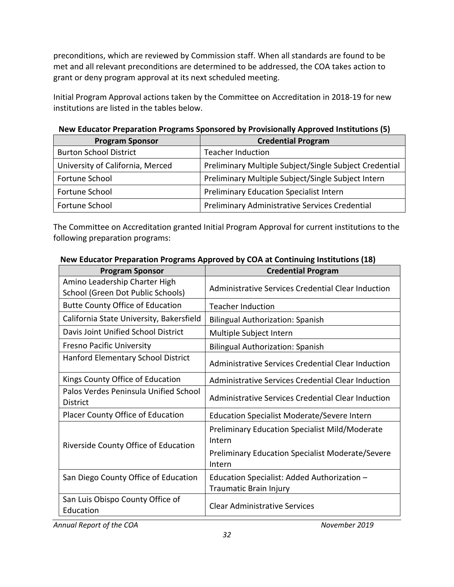preconditions, which are reviewed by Commission staff. When all standards are found to be met and all relevant preconditions are determined to be addressed, the COA takes action to grant or deny program approval at its next scheduled meeting.

 Initial Program Approval actions taken by the Committee on Accreditation in 2018-19 for new institutions are listed in the tables below.

| <b>Program Sponsor</b>           | <b>Credential Program</b>                              |
|----------------------------------|--------------------------------------------------------|
| <b>Burton School District</b>    | <b>Teacher Induction</b>                               |
| University of California, Merced | Preliminary Multiple Subject/Single Subject Credential |
| Fortune School                   | Preliminary Multiple Subject/Single Subject Intern     |
| Fortune School                   | <b>Preliminary Education Specialist Intern</b>         |
| Fortune School                   | Preliminary Administrative Services Credential         |

# **New Educator Preparation Programs Sponsored by Provisionally Approved Institutions (5)**

 The Committee on Accreditation granted Initial Program Approval for current institutions to the following preparation programs:

| <b>Program Sponsor</b>                                             | <b>Credential Program</b>                                             |
|--------------------------------------------------------------------|-----------------------------------------------------------------------|
| Amino Leadership Charter High<br>School (Green Dot Public Schools) | Administrative Services Credential Clear Induction                    |
| <b>Butte County Office of Education</b>                            | <b>Teacher Induction</b>                                              |
| California State University, Bakersfield                           | <b>Bilingual Authorization: Spanish</b>                               |
| Davis Joint Unified School District                                | Multiple Subject Intern                                               |
| <b>Fresno Pacific University</b>                                   | <b>Bilingual Authorization: Spanish</b>                               |
| Hanford Elementary School District                                 | Administrative Services Credential Clear Induction                    |
| Kings County Office of Education                                   | Administrative Services Credential Clear Induction                    |
| Palos Verdes Peninsula Unified School<br><b>District</b>           | Administrative Services Credential Clear Induction                    |
| Placer County Office of Education                                  | <b>Education Specialist Moderate/Severe Intern</b>                    |
| Riverside County Office of Education                               | <b>Preliminary Education Specialist Mild/Moderate</b><br>Intern       |
|                                                                    | <b>Preliminary Education Specialist Moderate/Severe</b><br>Intern     |
| San Diego County Office of Education                               | Education Specialist: Added Authorization -<br>Traumatic Brain Injury |
| San Luis Obispo County Office of<br>Education                      | <b>Clear Administrative Services</b>                                  |

#### **New Educator Preparation Programs Approved by COA at Continuing Institutions (18)**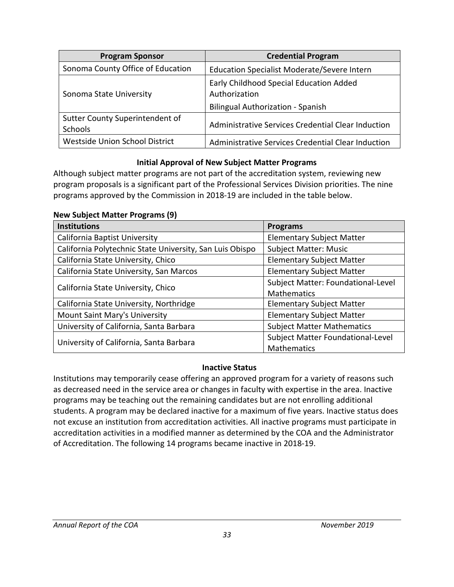<span id="page-32-0"></span>

| <b>Program Sponsor</b>                     | <b>Credential Program</b>                                                                            |
|--------------------------------------------|------------------------------------------------------------------------------------------------------|
| Sonoma County Office of Education          | Education Specialist Moderate/Severe Intern                                                          |
| Sonoma State University                    | Early Childhood Special Education Added<br>Authorization<br><b>Bilingual Authorization - Spanish</b> |
| Sutter County Superintendent of<br>Schools | Administrative Services Credential Clear Induction                                                   |
| Westside Union School District             | Administrative Services Credential Clear Induction                                                   |

#### **Initial Approval of New Subject Matter Programs**

 Although subject matter programs are not part of the accreditation system, reviewing new program proposals is a significant part of the Professional Services Division priorities. The nine  programs approved by the Commission in 2018-19 are included in the table below.

**New Subject Matter Programs (9)** 

| <b>Institutions</b>                                      | <b>Programs</b>                    |
|----------------------------------------------------------|------------------------------------|
| California Baptist University                            | <b>Elementary Subject Matter</b>   |
| California Polytechnic State University, San Luis Obispo | <b>Subject Matter: Music</b>       |
| California State University, Chico                       | <b>Elementary Subject Matter</b>   |
| California State University, San Marcos                  | <b>Elementary Subject Matter</b>   |
|                                                          | Subject Matter: Foundational-Level |
| California State University, Chico                       | Mathematics                        |
| California State University, Northridge                  | <b>Elementary Subject Matter</b>   |
| Mount Saint Mary's University                            | <b>Elementary Subject Matter</b>   |
| University of California, Santa Barbara                  | <b>Subject Matter Mathematics</b>  |
|                                                          | Subject Matter Foundational-Level  |
| University of California, Santa Barbara                  | Mathematics                        |

#### **Inactive Status**

 programs may be teaching out the remaining candidates but are not enrolling additional Institutions may temporarily cease offering an approved program for a variety of reasons such as decreased need in the service area or changes in faculty with expertise in the area. Inactive students. A program may be declared inactive for a maximum of five years. Inactive status does not excuse an institution from accreditation activities. All inactive programs must participate in accreditation activities in a modified manner as determined by the COA and the Administrator of Accreditation. The following 14 programs became inactive in 2018-19.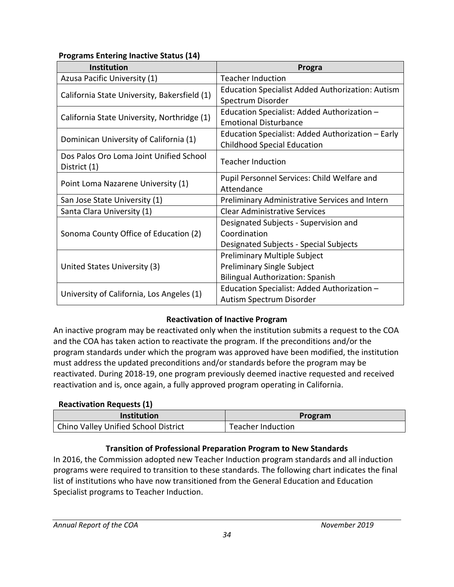# <span id="page-33-0"></span>**Programs Entering Inactive Status (14)**

| Institution                                  | Progra                                                  |
|----------------------------------------------|---------------------------------------------------------|
| Azusa Pacific University (1)                 | <b>Teacher Induction</b>                                |
| California State University, Bakersfield (1) | <b>Education Specialist Added Authorization: Autism</b> |
|                                              | Spectrum Disorder                                       |
| California State University, Northridge (1)  | Education Specialist: Added Authorization -             |
|                                              | <b>Emotional Disturbance</b>                            |
| Dominican University of California (1)       | Education Specialist: Added Authorization - Early       |
|                                              | <b>Childhood Special Education</b>                      |
| Dos Palos Oro Loma Joint Unified School      | <b>Teacher Induction</b>                                |
| District (1)                                 |                                                         |
|                                              | Pupil Personnel Services: Child Welfare and             |
| Point Loma Nazarene University (1)           | Attendance                                              |
| San Jose State University (1)                | Preliminary Administrative Services and Intern          |
| Santa Clara University (1)                   | <b>Clear Administrative Services</b>                    |
|                                              | Designated Subjects - Supervision and                   |
| Sonoma County Office of Education (2)        | Coordination                                            |
|                                              | Designated Subjects - Special Subjects                  |
|                                              | Preliminary Multiple Subject                            |
| United States University (3)                 | <b>Preliminary Single Subject</b>                       |
|                                              | <b>Bilingual Authorization: Spanish</b>                 |
|                                              | Education Specialist: Added Authorization -             |
| University of California, Los Angeles (1)    | Autism Spectrum Disorder                                |

# **Reactivation of Inactive Program**

 must address the updated preconditions and/or standards before the program may be An inactive program may be reactivated only when the institution submits a request to the COA and the COA has taken action to reactivate the program. If the preconditions and/or the program standards under which the program was approved have been modified, the institution reactivated. During 2018-19, one program previously deemed inactive requested and received reactivation and is, once again, a fully approved program operating in California.

#### **Reactivation Requests (1)**

| <b>Institution</b>                   | Program           |
|--------------------------------------|-------------------|
| Chino Valley Unified School District | Teacher Induction |

# **Transition of Professional Preparation Program to New Standards**

 list of institutions who have now transitioned from the General Education and Education In 2016, the Commission adopted new Teacher Induction program standards and all induction programs were required to transition to these standards. The following chart indicates the final Specialist programs to Teacher Induction.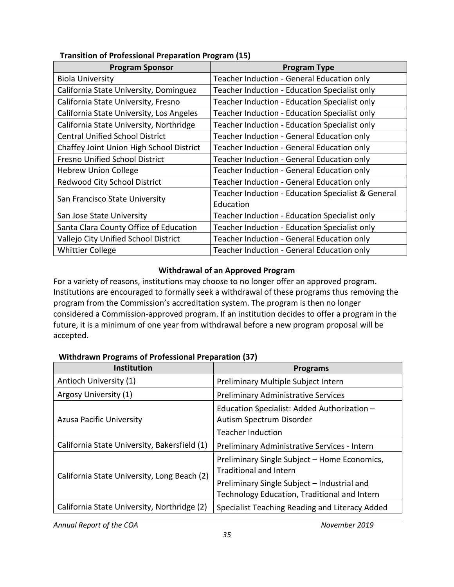| <b>Program Sponsor</b>                   | <b>Program Type</b>                                |
|------------------------------------------|----------------------------------------------------|
| <b>Biola University</b>                  | Teacher Induction - General Education only         |
| California State University, Dominguez   | Teacher Induction - Education Specialist only      |
| California State University, Fresno      | Teacher Induction - Education Specialist only      |
| California State University, Los Angeles | Teacher Induction - Education Specialist only      |
| California State University, Northridge  | Teacher Induction - Education Specialist only      |
| <b>Central Unified School District</b>   | Teacher Induction - General Education only         |
| Chaffey Joint Union High School District | Teacher Induction - General Education only         |
| <b>Fresno Unified School District</b>    | Teacher Induction - General Education only         |
| <b>Hebrew Union College</b>              | Teacher Induction - General Education only         |
| Redwood City School District             | Teacher Induction - General Education only         |
|                                          | Teacher Induction - Education Specialist & General |
| San Francisco State University           | Education                                          |
| San Jose State University                | Teacher Induction - Education Specialist only      |
| Santa Clara County Office of Education   | Teacher Induction - Education Specialist only      |
| Vallejo City Unified School District     | Teacher Induction - General Education only         |
| <b>Whittier College</b>                  | Teacher Induction - General Education only         |

## <span id="page-34-0"></span>**Transition of Professional Preparation Program (15)**

#### **Withdrawal of an Approved Program**

 For a variety of reasons, institutions may choose to no longer offer an approved program. Institutions are encouraged to formally seek a withdrawal of these programs thus removing the program from the Commission's accreditation system. The program is then no longer considered a Commission-approved program. If an institution decides to offer a program in the future, it is a minimum of one year from withdrawal before a new program proposal will be accepted.

#### **Withdrawn Programs of Professional Preparation (37)**

| <b>Institution</b>                           | <b>Programs</b>                                                                                     |
|----------------------------------------------|-----------------------------------------------------------------------------------------------------|
| Antioch University (1)                       | Preliminary Multiple Subject Intern                                                                 |
| Argosy University (1)                        | <b>Preliminary Administrative Services</b>                                                          |
| <b>Azusa Pacific University</b>              | Education Specialist: Added Authorization -<br>Autism Spectrum Disorder<br><b>Teacher Induction</b> |
| California State University, Bakersfield (1) | Preliminary Administrative Services - Intern                                                        |
| California State University, Long Beach (2)  | Preliminary Single Subject - Home Economics,<br>Traditional and Intern                              |
|                                              | Preliminary Single Subject - Industrial and<br>Technology Education, Traditional and Intern         |
| California State University, Northridge (2)  | Specialist Teaching Reading and Literacy Added                                                      |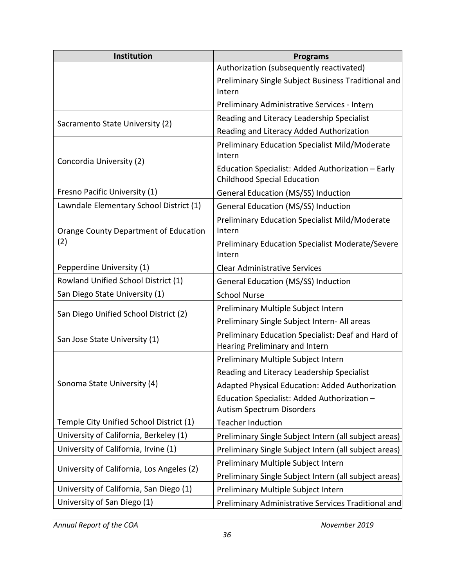| Institution                               | <b>Programs</b>                                                                         |  |  |
|-------------------------------------------|-----------------------------------------------------------------------------------------|--|--|
|                                           | Authorization (subsequently reactivated)                                                |  |  |
|                                           | Preliminary Single Subject Business Traditional and<br>Intern                           |  |  |
|                                           | Preliminary Administrative Services - Intern                                            |  |  |
| Sacramento State University (2)           | Reading and Literacy Leadership Specialist                                              |  |  |
|                                           | Reading and Literacy Added Authorization                                                |  |  |
| Concordia University (2)                  | <b>Preliminary Education Specialist Mild/Moderate</b><br>Intern                         |  |  |
|                                           | Education Specialist: Added Authorization - Early<br><b>Childhood Special Education</b> |  |  |
| Fresno Pacific University (1)             | <b>General Education (MS/SS) Induction</b>                                              |  |  |
| Lawndale Elementary School District (1)   | <b>General Education (MS/SS) Induction</b>                                              |  |  |
| Orange County Department of Education     | <b>Preliminary Education Specialist Mild/Moderate</b><br>Intern                         |  |  |
| (2)                                       | Preliminary Education Specialist Moderate/Severe<br>Intern                              |  |  |
| Pepperdine University (1)                 | <b>Clear Administrative Services</b>                                                    |  |  |
| Rowland Unified School District (1)       | General Education (MS/SS) Induction                                                     |  |  |
| San Diego State University (1)            | <b>School Nurse</b>                                                                     |  |  |
|                                           | Preliminary Multiple Subject Intern                                                     |  |  |
| San Diego Unified School District (2)     | Preliminary Single Subject Intern- All areas                                            |  |  |
| San Jose State University (1)             | Preliminary Education Specialist: Deaf and Hard of<br>Hearing Preliminary and Intern    |  |  |
|                                           | Preliminary Multiple Subject Intern                                                     |  |  |
|                                           | Reading and Literacy Leadership Specialist                                              |  |  |
| Sonoma State University (4)               | Adapted Physical Education: Added Authorization                                         |  |  |
|                                           | Education Specialist: Added Authorization -<br><b>Autism Spectrum Disorders</b>         |  |  |
| Temple City Unified School District (1)   | <b>Teacher Induction</b>                                                                |  |  |
| University of California, Berkeley (1)    | Preliminary Single Subject Intern (all subject areas)                                   |  |  |
| University of California, Irvine (1)      | Preliminary Single Subject Intern (all subject areas)                                   |  |  |
|                                           | Preliminary Multiple Subject Intern                                                     |  |  |
| University of California, Los Angeles (2) | Preliminary Single Subject Intern (all subject areas)                                   |  |  |
| University of California, San Diego (1)   | Preliminary Multiple Subject Intern                                                     |  |  |
| University of San Diego (1)               | Preliminary Administrative Services Traditional and                                     |  |  |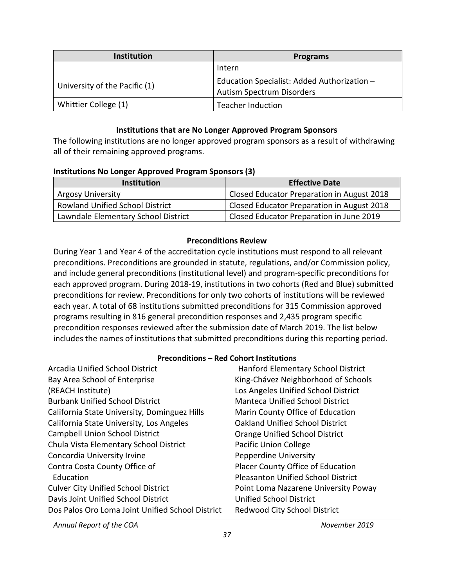<span id="page-36-0"></span>

| <b>Institution</b>            | <b>Programs</b>                                                                 |
|-------------------------------|---------------------------------------------------------------------------------|
|                               | Intern                                                                          |
| University of the Pacific (1) | Education Specialist: Added Authorization -<br><b>Autism Spectrum Disorders</b> |
| Whittier College (1)          | <b>Teacher Induction</b>                                                        |

#### **Institutions that are No Longer Approved Program Sponsors**

The following institutions are no longer approved program sponsors as a result of withdrawing all of their remaining approved programs.

#### **Institutions No Longer Approved Program Sponsors (3)**

| <b>Institution</b>                     | <b>Effective Date</b>                      |  |
|----------------------------------------|--------------------------------------------|--|
| <b>Argosy University</b>               | Closed Educator Preparation in August 2018 |  |
| <b>Rowland Unified School District</b> | Closed Educator Preparation in August 2018 |  |
| Lawndale Elementary School District    | Closed Educator Preparation in June 2019   |  |

#### **Preconditions Review**

 preconditions. Preconditions are grounded in statute, regulations, and/or Commission policy, preconditions for review. Preconditions for only two cohorts of institutions will be reviewed includes the names of institutions that submitted preconditions during this reporting period. During Year 1 and Year 4 of the accreditation cycle institutions must respond to all relevant and include general preconditions (institutional level) and program-specific preconditions for each approved program. During 2018-19, institutions in two cohorts (Red and Blue) submitted each year. A total of 68 institutions submitted preconditions for 315 Commission approved programs resulting in 816 general precondition responses and 2,435 program specific precondition responses reviewed after the submission date of March 2019. The list below

#### **Preconditions – Red Cohort Institutions**

| <b>Arcadia Unified School District</b>           | Hanford Elementary School District        |
|--------------------------------------------------|-------------------------------------------|
| Bay Area School of Enterprise                    | King-Chávez Neighborhood of Schools       |
| (REACH Institute)                                | Los Angeles Unified School District       |
| <b>Burbank Unified School District</b>           | <b>Manteca Unified School District</b>    |
| California State University, Dominguez Hills     | Marin County Office of Education          |
| California State University, Los Angeles         | <b>Oakland Unified School District</b>    |
| <b>Campbell Union School District</b>            | Orange Unified School District            |
| Chula Vista Elementary School District           | <b>Pacific Union College</b>              |
| Concordia University Irvine                      | Pepperdine University                     |
| Contra Costa County Office of                    | Placer County Office of Education         |
| Education                                        | <b>Pleasanton Unified School District</b> |
| <b>Culver City Unified School District</b>       | Point Loma Nazarene University Poway      |
| Davis Joint Unified School District              | <b>Unified School District</b>            |
| Dos Palos Oro Loma Joint Unified School District | <b>Redwood City School District</b>       |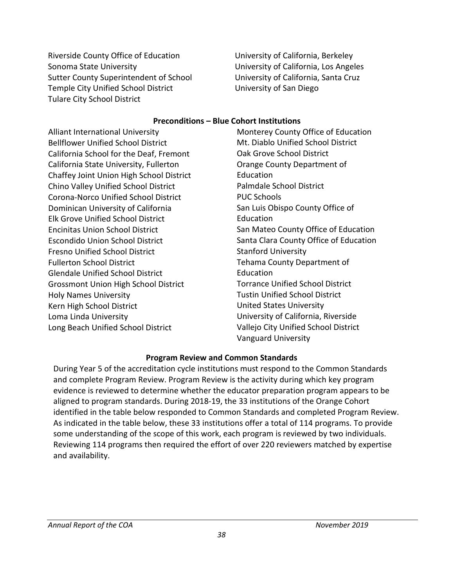<span id="page-37-0"></span>Riverside County Office of Education Sonoma State University Sutter County Superintendent of School Temple City Unified School District Tulare City School District

University of California, Berkeley University of California, Los Angeles University of California, Santa Cruz University of San Diego

#### **Preconditions – Blue Cohort Institutions**

Alliant International University Bellflower Unified School District California School for the Deaf, Fremont California State University, Fullerton Chaffey Joint Union High School District Chino Valley Unified School District Corona-Norco Unified School District Dominican University of California Elk Grove Unified School District Encinitas Union School District Escondido Union School District Fresno Unified School District Fullerton School District Glendale Unified School District Grossmont Union High School District Holy Names University Kern High School District Loma Linda University Long Beach Unified School District

Monterey County Office of Education Mt. Diablo Unified School District Oak Grove School District Orange County Department of Education Palmdale School District PUC Schools San Luis Obispo County Office of Education San Mateo County Office of Education Santa Clara County Office of Education Stanford University Tehama County Department of Education Torrance Unified School District Tustin Unified School District United States University University of California, Riverside Vallejo City Unified School District Vanguard University

#### **Program Review and Common Standards**

 evidence is reviewed to determine whether the educator preparation program appears to be As indicated in the table below, these 33 institutions offer a total of 114 programs. To provide Reviewing 114 programs then required the effort of over 220 reviewers matched by expertise During Year 5 of the accreditation cycle institutions must respond to the Common Standards and complete Program Review. Program Review is the activity during which key program aligned to program standards. During 2018-19, the 33 institutions of the Orange Cohort identified in the table below responded to Common Standards and completed Program Review. some understanding of the scope of this work, each program is reviewed by two individuals. and availability.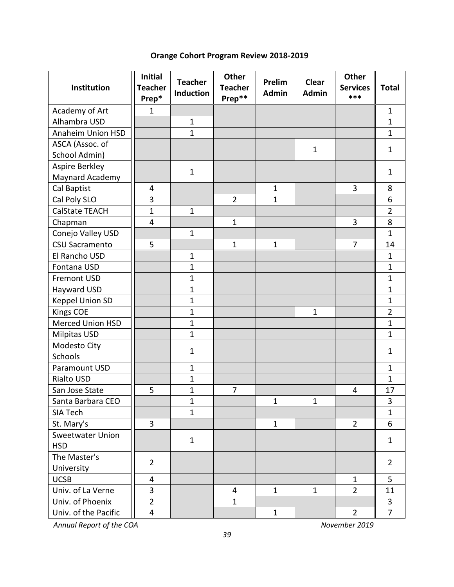# **Orange Cohort Program Review 2018-2019**

| Institution              | <b>Initial</b><br><b>Teacher</b><br>Prep* | <b>Teacher</b><br><b>Induction</b> | Other<br><b>Teacher</b><br>Prep** | Prelim<br><b>Admin</b> | <b>Clear</b><br><b>Admin</b> | Other<br><b>Services</b><br>*** | <b>Total</b>   |
|--------------------------|-------------------------------------------|------------------------------------|-----------------------------------|------------------------|------------------------------|---------------------------------|----------------|
| Academy of Art           | $\mathbf{1}$                              |                                    |                                   |                        |                              |                                 | 1              |
| Alhambra USD             |                                           | $\mathbf{1}$                       |                                   |                        |                              |                                 | $\mathbf{1}$   |
| <b>Anaheim Union HSD</b> |                                           | $\mathbf{1}$                       |                                   |                        |                              |                                 | $\mathbf{1}$   |
| ASCA (Assoc. of          |                                           |                                    |                                   |                        | $\mathbf 1$                  |                                 | $\mathbf{1}$   |
| School Admin)            |                                           |                                    |                                   |                        |                              |                                 |                |
| Aspire Berkley           |                                           | $\mathbf{1}$                       |                                   |                        |                              |                                 | $\mathbf{1}$   |
| Maynard Academy          |                                           |                                    |                                   |                        |                              |                                 |                |
| Cal Baptist              | 4                                         |                                    |                                   | $\mathbf{1}$           |                              | 3                               | 8              |
| Cal Poly SLO             | 3                                         |                                    | $\overline{2}$                    | 1                      |                              |                                 | 6              |
| <b>CalState TEACH</b>    | $\mathbf{1}$                              | $\mathbf{1}$                       |                                   |                        |                              |                                 | $\overline{2}$ |
| Chapman                  | $\overline{4}$                            |                                    | $\mathbf{1}$                      |                        |                              | 3                               | 8              |
| Conejo Valley USD        |                                           | $\mathbf{1}$                       |                                   |                        |                              |                                 | $\mathbf{1}$   |
| <b>CSU Sacramento</b>    | 5                                         |                                    | $\mathbf{1}$                      | $\mathbf{1}$           |                              | $\overline{7}$                  | 14             |
| El Rancho USD            |                                           | $\mathbf{1}$                       |                                   |                        |                              |                                 | $\mathbf{1}$   |
| Fontana USD              |                                           | $\mathbf{1}$                       |                                   |                        |                              |                                 | $\mathbf 1$    |
| <b>Fremont USD</b>       |                                           | $\mathbf{1}$                       |                                   |                        |                              |                                 | $\mathbf 1$    |
| Hayward USD              |                                           | $\overline{1}$                     |                                   |                        |                              |                                 | $\mathbf 1$    |
| Keppel Union SD          |                                           | $\mathbf{1}$                       |                                   |                        |                              |                                 | $\overline{1}$ |
| <b>Kings COE</b>         |                                           | $\mathbf{1}$                       |                                   |                        | $\mathbf{1}$                 |                                 | $\overline{2}$ |
| <b>Merced Union HSD</b>  |                                           | $\mathbf{1}$                       |                                   |                        |                              |                                 | $\mathbf 1$    |
| <b>Milpitas USD</b>      |                                           | $\mathbf{1}$                       |                                   |                        |                              |                                 | $\mathbf 1$    |
| Modesto City<br>Schools  |                                           | $\mathbf 1$                        |                                   |                        |                              |                                 | $\mathbf{1}$   |
| Paramount USD            |                                           | $\mathbf{1}$                       |                                   |                        |                              |                                 | $\mathbf{1}$   |
| Rialto USD               |                                           | $\mathbf{1}$                       |                                   |                        |                              |                                 | $\mathbf{1}$   |
| San Jose State           | 5                                         | $\mathbf{1}$                       | 7                                 |                        |                              | 4                               | 17             |
| Santa Barbara CEO        |                                           | $\mathbf 1$                        |                                   | $\mathbf{1}$           | $\mathbf{1}$                 |                                 | 3              |
| SIA Tech                 |                                           | $\mathbf{1}$                       |                                   |                        |                              |                                 | $\mathbf{1}$   |
| St. Mary's               | $\overline{3}$                            |                                    |                                   | $\mathbf{1}$           |                              | $\overline{2}$                  | 6              |
| Sweetwater Union         |                                           |                                    |                                   |                        |                              |                                 |                |
| <b>HSD</b>               |                                           | $\mathbf{1}$                       |                                   |                        |                              |                                 | $\mathbf{1}$   |
| The Master's             |                                           |                                    |                                   |                        |                              |                                 |                |
| University               | $\overline{2}$                            |                                    |                                   |                        |                              |                                 | $\overline{2}$ |
| <b>UCSB</b>              | 4                                         |                                    |                                   |                        |                              | $\mathbf{1}$                    | 5              |
| Univ. of La Verne        | 3                                         |                                    | 4                                 | $\mathbf{1}$           | $\mathbf{1}$                 | $\overline{2}$                  | 11             |
| Univ. of Phoenix         | $\overline{2}$                            |                                    | $\mathbf{1}$                      |                        |                              |                                 | 3              |
| Univ. of the Pacific     | 4                                         |                                    |                                   | $\mathbf{1}$           |                              | $\overline{2}$                  | $\overline{7}$ |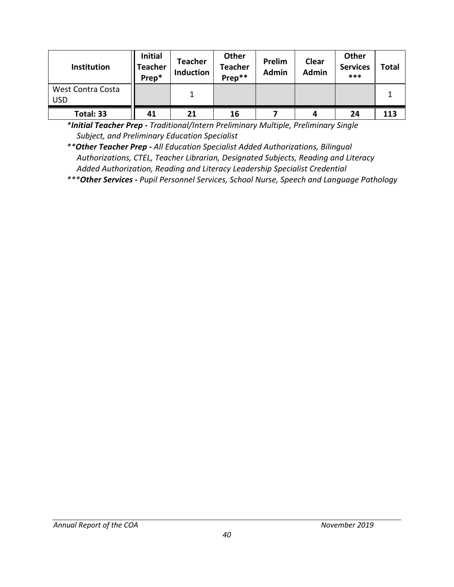| Institution                     | <b>Initial</b><br>Teacher<br>Prep* | <b>Teacher</b><br><b>Induction</b> | Other<br><b>Teacher</b><br>Prep** | Prelim<br>Admin | Clear<br><b>Admin</b> | Other<br><b>Services</b><br>*** | <b>Total</b> |
|---------------------------------|------------------------------------|------------------------------------|-----------------------------------|-----------------|-----------------------|---------------------------------|--------------|
| West Contra Costa<br><b>USD</b> |                                    |                                    |                                   |                 |                       |                                 |              |
| Total: 33                       | 41                                 | 21                                 | 16                                |                 | 4                     | 24                              | 113          |

*\*Initial Teacher Prep - Traditional/Intern Preliminary Multiple, Preliminary Single Subject, and Preliminary Education Specialist* 

*\*\*Other Teacher Prep - All Education Specialist Added Authorizations, Bilingual Authorizations, CTEL, Teacher Librarian, Designated Subjects, Reading and Literacy Added Authorization, Reading and Literacy Leadership Specialist Credential* 

*\*\*\*Other Services - Pupil Personnel Services, School Nurse, Speech and Language Pathology*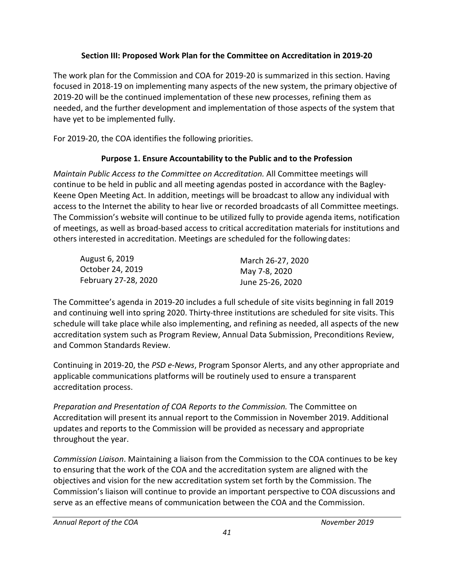# **Section III: Proposed Work Plan for the Committee on Accreditation in 2019-20**

<span id="page-40-0"></span> focused in 2018-19 on implementing many aspects of the new system, the primary objective of The work plan for the Commission and COA for 2019-20 is summarized in this section. Having 2019-20 will be the continued implementation of these new processes, refining them as needed, and the further development and implementation of those aspects of the system that have yet to be implemented fully.

For 2019-20, the COA identifies the following priorities.

# **Purpose 1. Ensure Accountability to the Public and to the Profession**

 access to the Internet the ability to hear live or recorded broadcasts of all Committee meetings. others interested in accreditation. Meetings are scheduled for the following dates: *Maintain Public Access to the Committee on Accreditation.* All Committee meetings will continue to be held in public and all meeting agendas posted in accordance with the Bagley-Keene Open Meeting Act. In addition, meetings will be broadcast to allow any individual with The Commission's website will continue to be utilized fully to provide agenda items, notification of meetings, as well as broad-based access to critical accreditation materials for institutions and

| August 6, 2019       | March 26-27, 2020 |
|----------------------|-------------------|
| October 24, 2019     | May 7-8, 2020     |
| February 27-28, 2020 | June 25-26, 2020  |

 The Committee's agenda in 2019-20 includes a full schedule of site visits beginning in fall 2019 schedule will take place while also implementing, and refining as needed, all aspects of the new and continuing well into spring 2020. Thirty-three institutions are scheduled for site visits. This accreditation system such as Program Review, Annual Data Submission, Preconditions Review, and Common Standards Review.

Continuing in 2019-20, the *PSD e-News*, Program Sponsor Alerts, and any other appropriate and applicable communications platforms will be routinely used to ensure a transparent accreditation process.

 updates and reports to the Commission will be provided as necessary and appropriate *Preparation and Presentation of COA Reports to the Commission.* The Committee on Accreditation will present its annual report to the Commission in November 2019. Additional throughout the year.

 *Commission Liaison*. Maintaining a liaison from the Commission to the COA continues to be key Commission's liaison will continue to provide an important perspective to COA discussions and to ensuring that the work of the COA and the accreditation system are aligned with the objectives and vision for the new accreditation system set forth by the Commission. The serve as an effective means of communication between the COA and the Commission.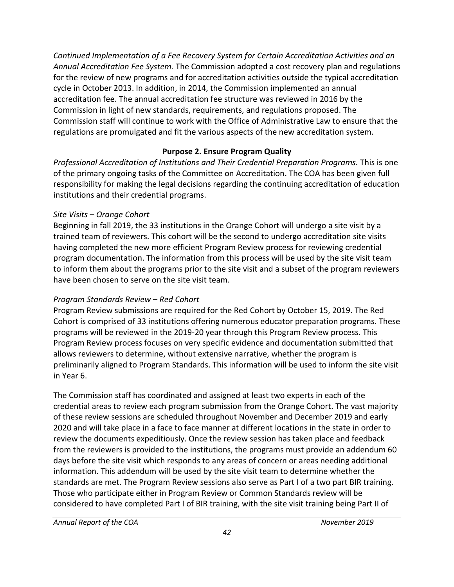<span id="page-41-0"></span> for the review of new programs and for accreditation activities outside the typical accreditation accreditation fee. The annual accreditation fee structure was reviewed in 2016 by the *Continued Implementation of a Fee Recovery System for Certain Accreditation Activities and an Annual Accreditation Fee System.* The Commission adopted a cost recovery plan and regulations cycle in October 2013. In addition, in 2014, the Commission implemented an annual Commission in light of new standards, requirements, and regulations proposed. The Commission staff will continue to work with the Office of Administrative Law to ensure that the regulations are promulgated and fit the various aspects of the new accreditation system.

# **Purpose 2. Ensure Program Quality**

 institutions and their credential programs. *Professional Accreditation of Institutions and Their Credential Preparation Programs.* This is one of the primary ongoing tasks of the Committee on Accreditation. The COA has been given full responsibility for making the legal decisions regarding the continuing accreditation of education

## *Site Visits – Orange Cohort*

 trained team of reviewers. This cohort will be the second to undergo accreditation site visits Beginning in fall 2019, the 33 institutions in the Orange Cohort will undergo a site visit by a having completed the new more efficient Program Review process for reviewing credential program documentation. The information from this process will be used by the site visit team to inform them about the programs prior to the site visit and a subset of the program reviewers have been chosen to serve on the site visit team.

# *Program Standards Review – Red Cohort*

 Program Review process focuses on very specific evidence and documentation submitted that Program Review submissions are required for the Red Cohort by October 15, 2019. The Red Cohort is comprised of 33 institutions offering numerous educator preparation programs. These programs will be reviewed in the 2019-20 year through this Program Review process. This allows reviewers to determine, without extensive narrative, whether the program is preliminarily aligned to Program Standards. This information will be used to inform the site visit in Year 6.

 of these review sessions are scheduled throughout November and December 2019 and early 2020 and will take place in a face to face manner at different locations in the state in order to from the reviewers is provided to the institutions, the programs must provide an addendum 60 information. This addendum will be used by the site visit team to determine whether the standards are met. The Program Review sessions also serve as Part I of a two part BIR training. considered to have completed Part I of BIR training, with the site visit training being Part II of The Commission staff has coordinated and assigned at least two experts in each of the credential areas to review each program submission from the Orange Cohort. The vast majority review the documents expeditiously. Once the review session has taken place and feedback days before the site visit which responds to any areas of concern or areas needing additional Those who participate either in Program Review or Common Standards review will be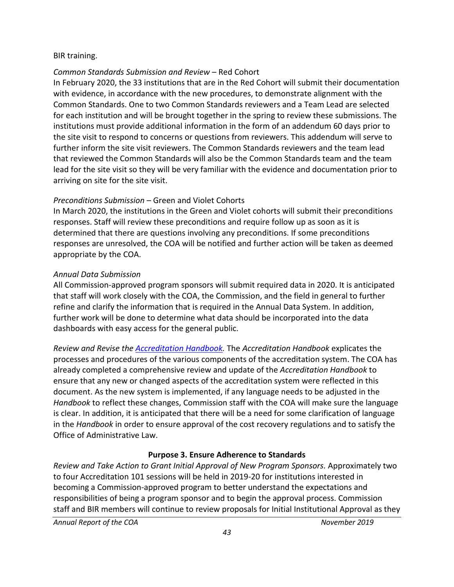#### <span id="page-42-0"></span>BIR training.

## *Common Standards Submission and Review* – Red Cohort

 In February 2020, the 33 institutions that are in the Red Cohort will submit their documentation for each institution and will be brought together in the spring to review these submissions. The further inform the site visit reviewers. The Common Standards reviewers and the team lead that reviewed the Common Standards will also be the Common Standards team and the team lead for the site visit so they will be very familiar with the evidence and documentation prior to with evidence, in accordance with the new procedures, to demonstrate alignment with the Common Standards. One to two Common Standards reviewers and a Team Lead are selected institutions must provide additional information in the form of an addendum 60 days prior to the site visit to respond to concerns or questions from reviewers. This addendum will serve to arriving on site for the site visit.

#### *Preconditions Submission* – Green and Violet Cohorts

 responses are unresolved, the COA will be notified and further action will be taken as deemed In March 2020, the institutions in the Green and Violet cohorts will submit their preconditions responses. Staff will review these preconditions and require follow up as soon as it is determined that there are questions involving any preconditions. If some preconditions appropriate by the COA.

#### *Annual Data Submission*

 All Commission-approved program sponsors will submit required data in 2020. It is anticipated that staff will work closely with the COA, the Commission, and the field in general to further further work will be done to determine what data should be incorporated into the data refine and clarify the information that is required in the Annual Data System. In addition, dashboards with easy access for the general public.

 already completed a comprehensive review and update of the *Accreditation Handbook* to document. As the new system is implemented, if any language needs to be adjusted in the is clear. In addition, it is anticipated that there will be a need for some clarification of language in the *Handbook* in order to ensure approval of the cost recovery regulations and to satisfy the *Review and Revise th[e Accreditation Handbook.](https://www.ctc.ca.gov/educator-prep/accred-handbook)* The *Accreditation Handbook* explicates the processes and procedures of the various components of the accreditation system. The COA has ensure that any new or changed aspects of the accreditation system were reflected in this *Handbook* to reflect these changes, Commission staff with the COA will make sure the language Office of Administrative Law.

#### **Purpose 3. Ensure Adherence to Standards**

Review and Take Action to Grant Initial Approval of New Program Sponsors. Approximately two to four Accreditation 101 sessions will be held in 2019-20 for institutions interested in responsibilities of being a program sponsor and to begin the approval process. Commission staff and BIR members will continue to review proposals for Initial Institutional Approval as they becoming a Commission-approved program to better understand the expectations and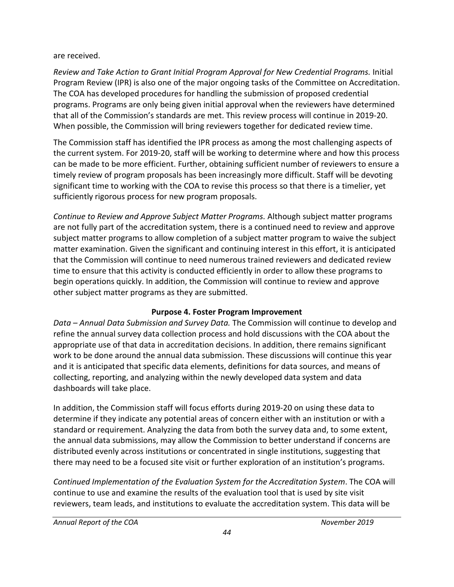#### <span id="page-43-0"></span>are received.

 Program Review (IPR) is also one of the major ongoing tasks of the Committee on Accreditation. programs. Programs are only being given initial approval when the reviewers have determined *Review and Take Action to Grant Initial Program Approval for New Credential Programs.* Initial The COA has developed procedures for handling the submission of proposed credential that all of the Commission's standards are met. This review process will continue in 2019-20. When possible, the Commission will bring reviewers together for dedicated review time.

 can be made to be more efficient. Further, obtaining sufficient number of reviewers to ensure a timely review of program proposals has been increasingly more difficult. Staff will be devoting significant time to working with the COA to revise this process so that there is a timelier, yet The Commission staff has identified the IPR process as among the most challenging aspects of the current system. For 2019-20, staff will be working to determine where and how this process sufficiently rigorous process for new program proposals.

 *Continue to Review and Approve Subject Matter Programs.* Although subject matter programs subject matter programs to allow completion of a subject matter program to waive the subject that the Commission will continue to need numerous trained reviewers and dedicated review time to ensure that this activity is conducted efficiently in order to allow these programs to are not fully part of the accreditation system, there is a continued need to review and approve matter examination. Given the significant and continuing interest in this effort, it is anticipated begin operations quickly. In addition, the Commission will continue to review and approve other subject matter programs as they are submitted.

# **Purpose 4. Foster Program Improvement**

 appropriate use of that data in accreditation decisions. In addition, there remains significant *Data – Annual Data Submission and Survey Data.* The Commission will continue to develop and refine the annual survey data collection process and hold discussions with the COA about the work to be done around the annual data submission. These discussions will continue this year and it is anticipated that specific data elements, definitions for data sources, and means of collecting, reporting, and analyzing within the newly developed data system and data dashboards will take place.

 distributed evenly across institutions or concentrated in single institutions, suggesting that there may need to be a focused site visit or further exploration of an institution's programs. In addition, the Commission staff will focus efforts during 2019-20 on using these data to determine if they indicate any potential areas of concern either with an institution or with a standard or requirement. Analyzing the data from both the survey data and, to some extent, the annual data submissions, may allow the Commission to better understand if concerns are

 continue to use and examine the results of the evaluation tool that is used by site visit reviewers, team leads, and institutions to evaluate the accreditation system. This data will be *Continued Implementation of the Evaluation System for the Accreditation System*. The COA will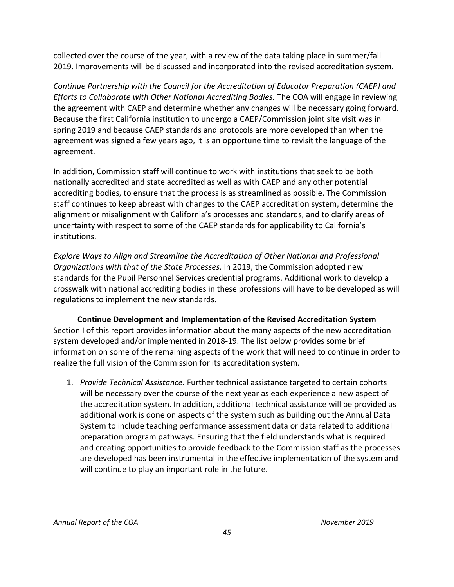<span id="page-44-0"></span> collected over the course of the year, with a review of the data taking place in summer/fall 2019. Improvements will be discussed and incorporated into the revised accreditation system.

 *Continue Partnership with the Council for the Accreditation of Educator Preparation (CAEP) and Efforts to Collaborate with Other National Accrediting Bodies.* The COA will engage in reviewing the agreement with CAEP and determine whether any changes will be necessary going forward. Because the first California institution to undergo a CAEP/Commission joint site visit was in agreement was signed a few years ago, it is an opportune time to revisit the language of the spring 2019 and because CAEP standards and protocols are more developed than when the agreement.

 nationally accredited and state accredited as well as with CAEP and any other potential accrediting bodies, to ensure that the process is as streamlined as possible. The Commission In addition, Commission staff will continue to work with institutions that seek to be both staff continues to keep abreast with changes to the CAEP accreditation system, determine the alignment or misalignment with California's processes and standards, and to clarify areas of uncertainty with respect to some of the CAEP standards for applicability to California's institutions.

 standards for the Pupil Personnel Services credential programs. Additional work to develop a crosswalk with national accrediting bodies in these professions will have to be developed as will regulations to implement the new standards. *Explore Ways to Align and Streamline the Accreditation of Other National and Professional Organizations with that of the State Processes.* In 2019, the Commission adopted new

 system developed and/or implemented in 2018-19. The list below provides some brief **Continue Development and Implementation of the Revised Accreditation System**  Section I of this report provides information about the many aspects of the new accreditation information on some of the remaining aspects of the work that will need to continue in order to realize the full vision of the Commission for its accreditation system.

 additional work is done on aspects of the system such as building out the Annual Data and creating opportunities to provide feedback to the Commission staff as the processes will continue to play an important role in the future. 1. *Provide Technical Assistance.* Further technical assistance targeted to certain cohorts will be necessary over the course of the next year as each experience a new aspect of the accreditation system. In addition, additional technical assistance will be provided as System to include teaching performance assessment data or data related to additional preparation program pathways. Ensuring that the field understands what is required are developed has been instrumental in the effective implementation of the system and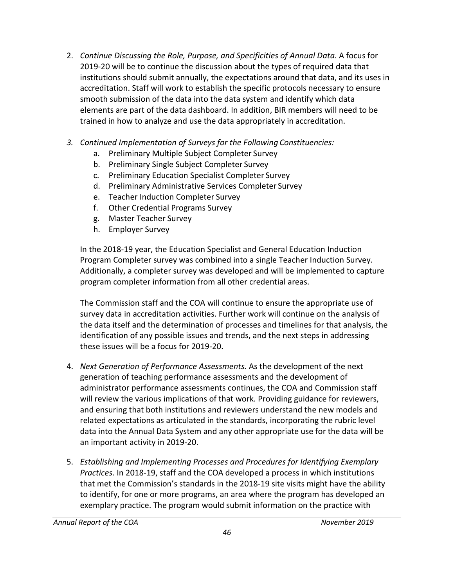- 2019-20 will be to continue the discussion about the types of required data that accreditation. Staff will work to establish the specific protocols necessary to ensure smooth submission of the data into the data system and identify which data 2. *Continue Discussing the Role, Purpose, and Specificities of Annual Data.* A focus for institutions should submit annually, the expectations around that data, and its uses in elements are part of the data dashboard. In addition, BIR members will need to be trained in how to analyze and use the data appropriately in accreditation.
- *3. Continued Implementation of Surveys for the Following Constituencies:* 
	- a. Preliminary Multiple Subject Completer Survey
	- b. Preliminary Single Subject Completer Survey
	- c. Preliminary Education Specialist Completer Survey
	- d. Preliminary Administrative Services Completer Survey
	- e. Teacher Induction Completer Survey
	- f. Other Credential Programs Survey
	- g. Master Teacher Survey
	- h. Employer Survey

In the 2018-19 year, the Education Specialist and General Education Induction Program Completer survey was combined into a single Teacher Induction Survey. Additionally, a completer survey was developed and will be implemented to capture program completer information from all other credential areas.

 identification of any possible issues and trends, and the next steps in addressing The Commission staff and the COA will continue to ensure the appropriate use of survey data in accreditation activities. Further work will continue on the analysis of the data itself and the determination of processes and timelines for that analysis, the these issues will be a focus for 2019-20.

- data into the Annual Data System and any other appropriate use for the data will be 4. *Next Generation of Performance Assessments.* As the development of the next generation of teaching performance assessments and the development of administrator performance assessments continues, the COA and Commission staff will review the various implications of that work. Providing guidance for reviewers, and ensuring that both institutions and reviewers understand the new models and related expectations as articulated in the standards, incorporating the rubric level an important activity in 2019-20.
- *Practices.* In 2018-19, staff and the COA developed a process in which institutions to identify, for one or more programs, an area where the program has developed an 5. *Establishing and Implementing Processes and Procedures for Identifying Exemplary*  that met the Commission's standards in the 2018-19 site visits might have the ability exemplary practice. The program would submit information on the practice with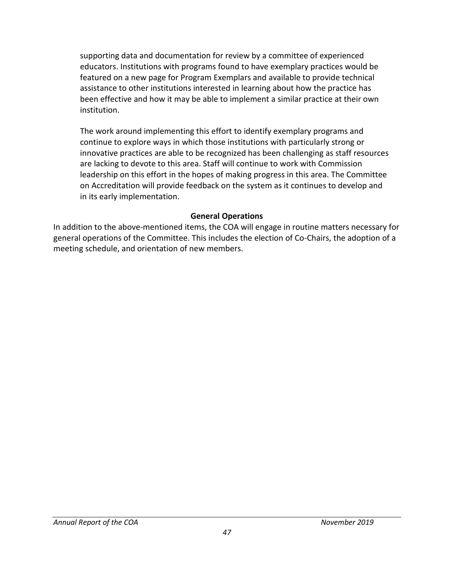<span id="page-46-0"></span> educators. Institutions with programs found to have exemplary practices would be featured on a new page for Program Exemplars and available to provide technical assistance to other institutions interested in learning about how the practice has supporting data and documentation for review by a committee of experienced been effective and how it may be able to implement a similar practice at their own institution.

 The work around implementing this effort to identify exemplary programs and innovative practices are able to be recognized has been challenging as staff resources leadership on this effort in the hopes of making progress in this area. The Committee on Accreditation will provide feedback on the system as it continues to develop and continue to explore ways in which those institutions with particularly strong or are lacking to devote to this area. Staff will continue to work with Commission in its early implementation.

#### **General Operations**

In addition to the above-mentioned items, the COA will engage in routine matters necessary for general operations of the Committee. This includes the election of Co-Chairs, the adoption of a meeting schedule, and orientation of new members.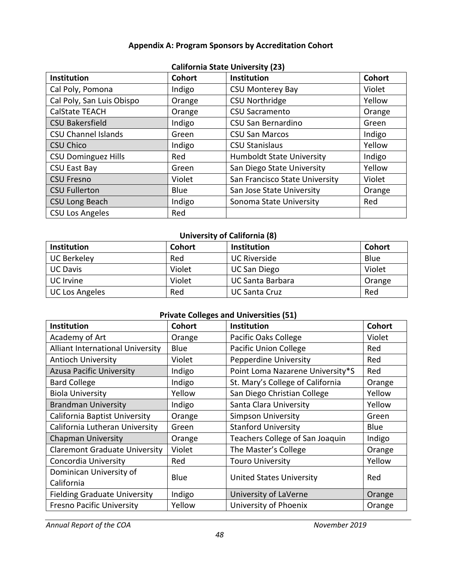#### **Appendix A: Program Sponsors by Accreditation Cohort**

<span id="page-47-0"></span>

| California state University (23) |               |                                  |               |  |  |  |
|----------------------------------|---------------|----------------------------------|---------------|--|--|--|
| Institution                      | <b>Cohort</b> | <b>Institution</b>               | <b>Cohort</b> |  |  |  |
| Cal Poly, Pomona                 | Indigo        | <b>CSU Monterey Bay</b>          | Violet        |  |  |  |
| Cal Poly, San Luis Obispo        | Orange        | <b>CSU Northridge</b>            | Yellow        |  |  |  |
| <b>CalState TEACH</b>            | Orange        | <b>CSU Sacramento</b>            | Orange        |  |  |  |
| <b>CSU Bakersfield</b>           | Indigo        | CSU San Bernardino               | Green         |  |  |  |
| <b>CSU Channel Islands</b>       | Green         | <b>CSU San Marcos</b>            | Indigo        |  |  |  |
| <b>CSU Chico</b>                 | Indigo        | <b>CSU Stanislaus</b>            | Yellow        |  |  |  |
| <b>CSU Dominguez Hills</b>       | Red           | <b>Humboldt State University</b> | Indigo        |  |  |  |
| <b>CSU East Bay</b>              | Green         | San Diego State University       | Yellow        |  |  |  |
| <b>CSU Fresno</b>                | Violet        | San Francisco State University   | Violet        |  |  |  |
| <b>CSU Fullerton</b>             | Blue          | San Jose State University        | Orange        |  |  |  |
| <b>CSU Long Beach</b>            | Indigo        | Sonoma State University          | Red           |  |  |  |
| <b>CSU Los Angeles</b>           | Red           |                                  |               |  |  |  |

#### **California State University (23)**

## **University of California (8)**

| <b>Institution</b>    | <b>Cohort</b> | <b>Institution</b>      | <b>Cohort</b> |
|-----------------------|---------------|-------------------------|---------------|
| <b>UC Berkeley</b>    | Red           | <b>UC Riverside</b>     | <b>Blue</b>   |
| <b>UC Davis</b>       | Violet        | <b>UC San Diego</b>     | Violet        |
| UC Irvine             | Violet        | <b>UC Santa Barbara</b> | Orange        |
| <b>UC Los Angeles</b> | Red           | UC Santa Cruz           | Red           |

## **Private Colleges and Universities (51)**

| <b>Institution</b>                   | Cohort | <b>Institution</b>               | <b>Cohort</b> |
|--------------------------------------|--------|----------------------------------|---------------|
| Academy of Art                       | Orange | Pacific Oaks College             | Violet        |
| Alliant International University     | Blue   | <b>Pacific Union College</b>     | Red           |
| <b>Antioch University</b>            | Violet | Pepperdine University            | Red           |
| <b>Azusa Pacific University</b>      | Indigo | Point Loma Nazarene University*S | Red           |
| <b>Bard College</b>                  | Indigo | St. Mary's College of California | Orange        |
| <b>Biola University</b>              | Yellow | San Diego Christian College      | Yellow        |
| <b>Brandman University</b>           | Indigo | Santa Clara University           | Yellow        |
| California Baptist University        | Orange | <b>Simpson University</b>        | Green         |
| California Lutheran University       | Green  | <b>Stanford University</b>       | Blue          |
| <b>Chapman University</b>            | Orange | Teachers College of San Joaquin  | Indigo        |
| <b>Claremont Graduate University</b> | Violet | The Master's College             | Orange        |
| Concordia University                 | Red    | <b>Touro University</b>          | Yellow        |
| Dominican University of              |        |                                  | Red           |
| California                           | Blue   | <b>United States University</b>  |               |
| <b>Fielding Graduate University</b>  | Indigo | University of LaVerne            | Orange        |
| <b>Fresno Pacific University</b>     | Yellow | University of Phoenix            | Orange        |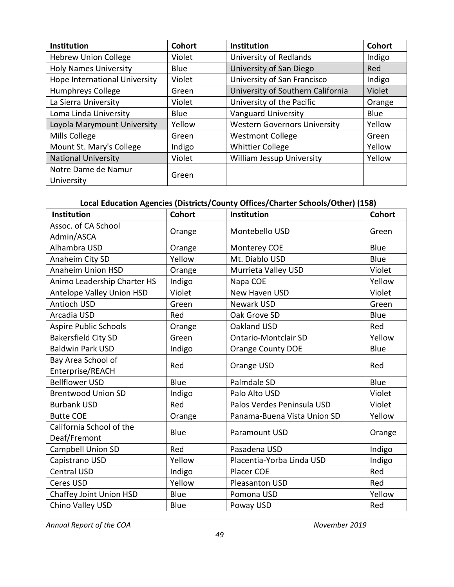| <b>Institution</b>            | Cohort      | <b>Institution</b>                  | <b>Cohort</b> |
|-------------------------------|-------------|-------------------------------------|---------------|
| <b>Hebrew Union College</b>   | Violet      | University of Redlands              | Indigo        |
| <b>Holy Names University</b>  | <b>Blue</b> | University of San Diego             | Red           |
| Hope International University | Violet      | University of San Francisco         | Indigo        |
| <b>Humphreys College</b>      | Green       | University of Southern California   | Violet        |
| La Sierra University          | Violet      | University of the Pacific           | Orange        |
| Loma Linda University         | <b>Blue</b> | <b>Vanguard University</b>          | <b>Blue</b>   |
| Loyola Marymount University   | Yellow      | <b>Western Governors University</b> | Yellow        |
| Mills College                 | Green       | <b>Westmont College</b>             | Green         |
| Mount St. Mary's College      | Indigo      | <b>Whittier College</b>             | Yellow        |
| <b>National University</b>    | Violet      | William Jessup University           | Yellow        |
| Notre Dame de Namur           | Green       |                                     |               |
| University                    |             |                                     |               |

# **Local Education Agencies (Districts/County Offices/Charter Schools/Other) (158)**

| Institution                              | <b>Cohort</b> | Institution                 | <b>Cohort</b> |
|------------------------------------------|---------------|-----------------------------|---------------|
| Assoc. of CA School<br>Admin/ASCA        | Orange        | Montebello USD              | Green         |
| Alhambra USD                             | Orange        | Monterey COE                | Blue          |
| Anaheim City SD                          | Yellow        | Mt. Diablo USD              | Blue          |
| <b>Anaheim Union HSD</b>                 | Orange        | Murrieta Valley USD         | Violet        |
| Animo Leadership Charter HS              | Indigo        | Napa COE                    | Yellow        |
| Antelope Valley Union HSD                | Violet        | New Haven USD               | Violet        |
| <b>Antioch USD</b>                       | Green         | <b>Newark USD</b>           | Green         |
| Arcadia USD                              | Red           | Oak Grove SD                | Blue          |
| <b>Aspire Public Schools</b>             | Orange        | Oakland USD                 | Red           |
| <b>Bakersfield City SD</b>               | Green         | <b>Ontario-Montclair SD</b> | Yellow        |
| <b>Baldwin Park USD</b>                  | Indigo        | <b>Orange County DOE</b>    | Blue          |
| Bay Area School of<br>Enterprise/REACH   | Red           | Orange USD                  | Red           |
| <b>Bellflower USD</b>                    | Blue          | Palmdale SD                 | Blue          |
| <b>Brentwood Union SD</b>                | Indigo        | Palo Alto USD               | Violet        |
| <b>Burbank USD</b>                       | Red           | Palos Verdes Peninsula USD  | Violet        |
| <b>Butte COE</b>                         | Orange        | Panama-Buena Vista Union SD | Yellow        |
| California School of the<br>Deaf/Fremont | Blue          | Paramount USD               | Orange        |
| Campbell Union SD                        | Red           | Pasadena USD                | Indigo        |
| Capistrano USD                           | Yellow        | Placentia-Yorba Linda USD   | Indigo        |
| <b>Central USD</b>                       | Indigo        | <b>Placer COE</b>           | Red           |
| Ceres USD                                | Yellow        | Pleasanton USD              | Red           |
| Chaffey Joint Union HSD                  | Blue          | Pomona USD                  | Yellow        |
| Chino Valley USD                         | Blue          | Poway USD                   | Red           |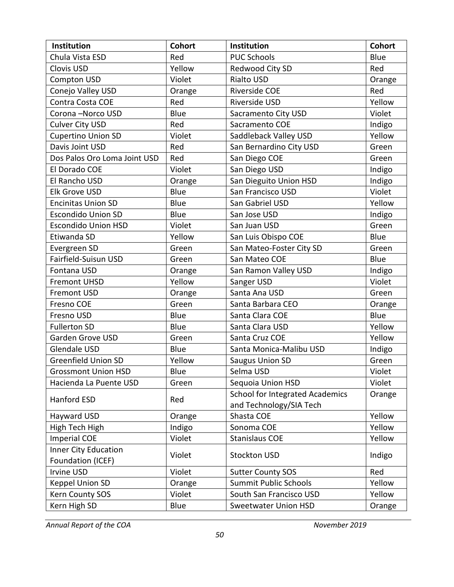| Institution                  | <b>Cohort</b> | Institution                            | <b>Cohort</b> |
|------------------------------|---------------|----------------------------------------|---------------|
| Chula Vista ESD              | Red           | <b>PUC Schools</b>                     | Blue          |
| Clovis USD                   | Yellow        | Redwood City SD                        | Red           |
| Compton USD                  | Violet        | <b>Rialto USD</b>                      | Orange        |
| Conejo Valley USD            | Orange        | Riverside COE                          | Red           |
| Contra Costa COE             | Red           | Riverside USD                          | Yellow        |
| Corona-Norco USD             | Blue          | Sacramento City USD                    | Violet        |
| <b>Culver City USD</b>       | Red           | Sacramento COE                         | Indigo        |
| <b>Cupertino Union SD</b>    | Violet        | Saddleback Valley USD                  | Yellow        |
| Davis Joint USD              | Red           | San Bernardino City USD                | Green         |
| Dos Palos Oro Loma Joint USD | Red           | San Diego COE                          | Green         |
| El Dorado COE                | Violet        | San Diego USD                          | Indigo        |
| El Rancho USD                | Orange        | San Dieguito Union HSD                 | Indigo        |
| Elk Grove USD                | Blue          | San Francisco USD                      | Violet        |
| <b>Encinitas Union SD</b>    | Blue          | San Gabriel USD                        | Yellow        |
| <b>Escondido Union SD</b>    | Blue          | San Jose USD                           | Indigo        |
| <b>Escondido Union HSD</b>   | Violet        | San Juan USD                           | Green         |
| Etiwanda SD                  | Yellow        | San Luis Obispo COE                    | Blue          |
| Evergreen SD                 | Green         | San Mateo-Foster City SD               | Green         |
| Fairfield-Suisun USD         | Green         | San Mateo COE                          | Blue          |
| Fontana USD                  | Orange        | San Ramon Valley USD                   | Indigo        |
| <b>Fremont UHSD</b>          | Yellow        | Sanger USD                             | Violet        |
| <b>Fremont USD</b>           | Orange        | Santa Ana USD                          | Green         |
| Fresno COE                   | Green         | Santa Barbara CEO                      | Orange        |
| Fresno USD                   | Blue          | Santa Clara COE                        | Blue          |
| <b>Fullerton SD</b>          | Blue          | Santa Clara USD                        | Yellow        |
| Garden Grove USD             | Green         | Santa Cruz COE                         | Yellow        |
| <b>Glendale USD</b>          | Blue          | Santa Monica-Malibu USD                | Indigo        |
| <b>Greenfield Union SD</b>   | Yellow        | <b>Saugus Union SD</b>                 | Green         |
| <b>Grossmont Union HSD</b>   | Blue          | Selma USD                              | Violet        |
| Hacienda La Puente USD       | Green         | Sequoia Union HSD                      | Violet        |
| Hanford ESD                  |               | <b>School for Integrated Academics</b> | Orange        |
|                              | Red           | and Technology/SIA Tech                |               |
| Hayward USD                  | Orange        | Shasta COE                             | Yellow        |
| High Tech High               | Indigo        | Sonoma COE                             | Yellow        |
| <b>Imperial COE</b>          | Violet        | <b>Stanislaus COE</b>                  | Yellow        |
| <b>Inner City Education</b>  | Violet        |                                        |               |
| Foundation (ICEF)            |               | <b>Stockton USD</b>                    | Indigo        |
| Irvine USD                   | Violet        | <b>Sutter County SOS</b>               | Red           |
| Keppel Union SD              | Orange        | <b>Summit Public Schools</b>           | Yellow        |
| Kern County SOS              | Violet        | South San Francisco USD                | Yellow        |
| Kern High SD                 | Blue          | Sweetwater Union HSD                   | Orange        |